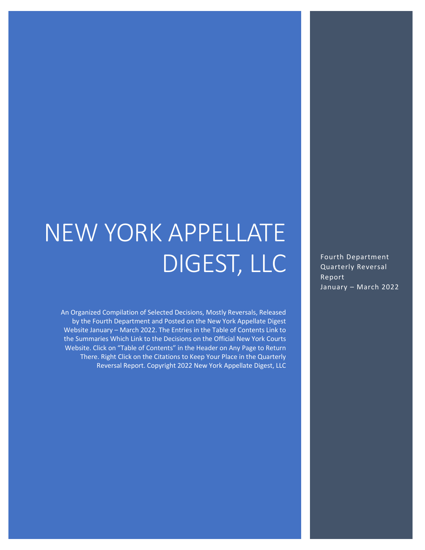# NEW YORK APPELLATE DIGEST, LLC

An Organized Compilation of Selected Decisions, Mostly Reversals, Released by the Fourth Department and Posted on the New York Appellate Digest Website January – March 2022. The Entries in the Table of Contents Link to the Summaries Which Link to the Decisions on the Official New York Courts Website. Click on "Table of Contents" in the Header on Any Page to Return There. Right Click on the Citations to Keep Your Place in the Quarterly Reversal Report. Copyright 2022 New York Appellate Digest, LLC

Fourth Department Quarterly Reversal Report January – March 2022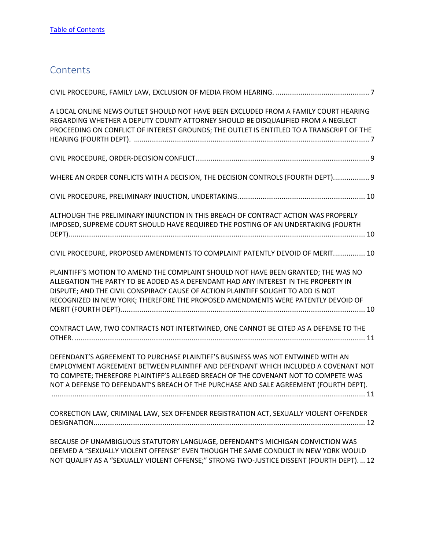#### <span id="page-1-0"></span>**Contents**

| A LOCAL ONLINE NEWS OUTLET SHOULD NOT HAVE BEEN EXCLUDED FROM A FAMILY COURT HEARING<br>REGARDING WHETHER A DEPUTY COUNTY ATTORNEY SHOULD BE DISQUALIFIED FROM A NEGLECT<br>PROCEEDING ON CONFLICT OF INTEREST GROUNDS; THE OUTLET IS ENTITLED TO A TRANSCRIPT OF THE                                                                                 |
|-------------------------------------------------------------------------------------------------------------------------------------------------------------------------------------------------------------------------------------------------------------------------------------------------------------------------------------------------------|
|                                                                                                                                                                                                                                                                                                                                                       |
| WHERE AN ORDER CONFLICTS WITH A DECISION, THE DECISION CONTROLS (FOURTH DEPT) 9                                                                                                                                                                                                                                                                       |
|                                                                                                                                                                                                                                                                                                                                                       |
| ALTHOUGH THE PRELIMINARY INJUNCTION IN THIS BREACH OF CONTRACT ACTION WAS PROPERLY<br>IMPOSED, SUPREME COURT SHOULD HAVE REQUIRED THE POSTING OF AN UNDERTAKING (FOURTH                                                                                                                                                                               |
| CIVIL PROCEDURE, PROPOSED AMENDMENTS TO COMPLAINT PATENTLY DEVOID OF MERIT 10                                                                                                                                                                                                                                                                         |
| PLAINTIFF'S MOTION TO AMEND THE COMPLAINT SHOULD NOT HAVE BEEN GRANTED; THE WAS NO<br>ALLEGATION THE PARTY TO BE ADDED AS A DEFENDANT HAD ANY INTEREST IN THE PROPERTY IN<br>DISPUTE; AND THE CIVIL CONSPIRACY CAUSE OF ACTION PLAINTIFF SOUGHT TO ADD IS NOT<br>RECOGNIZED IN NEW YORK; THEREFORE THE PROPOSED AMENDMENTS WERE PATENTLY DEVOID OF    |
| CONTRACT LAW, TWO CONTRACTS NOT INTERTWINED, ONE CANNOT BE CITED AS A DEFENSE TO THE                                                                                                                                                                                                                                                                  |
| DEFENDANT'S AGREEMENT TO PURCHASE PLAINTIFF'S BUSINESS WAS NOT ENTWINED WITH AN<br>EMPLOYMENT AGREEMENT BETWEEN PLAINTIFF AND DEFENDANT WHICH INCLUDED A COVENANT NOT<br>TO COMPETE; THEREFORE PLAINTIFF'S ALLEGED BREACH OF THE COVENANT NOT TO COMPETE WAS<br>NOT A DEFENSE TO DEFENDANT'S BREACH OF THE PURCHASE AND SALE AGREEMENT (FOURTH DEPT). |
| CORRECTION LAW, CRIMINAL LAW, SEX OFFENDER REGISTRATION ACT, SEXUALLY VIOLENT OFFENDER                                                                                                                                                                                                                                                                |
| BECAUSE OF UNAMBIGUOUS STATUTORY LANGUAGE, DEFENDANT'S MICHIGAN CONVICTION WAS<br>DEEMED A "SEXUALLY VIOLENT OFFENSE" EVEN THOUGH THE SAME CONDUCT IN NEW YORK WOULD<br>NOT QUALIFY AS A "SEXUALLY VIOLENT OFFENSE;" STRONG TWO-JUSTICE DISSENT (FOURTH DEPT).  12                                                                                    |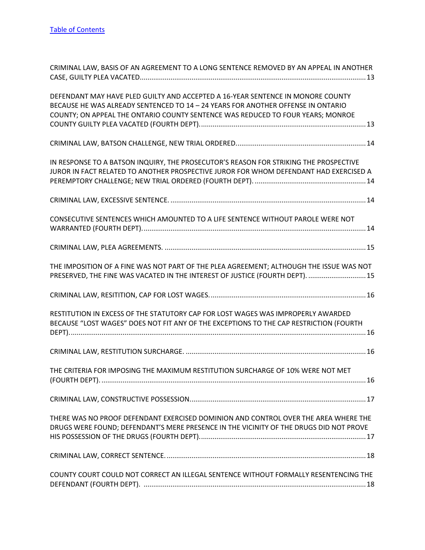| CRIMINAL LAW, BASIS OF AN AGREEMENT TO A LONG SENTENCE REMOVED BY AN APPEAL IN ANOTHER                                                                                                                                                                 |
|--------------------------------------------------------------------------------------------------------------------------------------------------------------------------------------------------------------------------------------------------------|
| DEFENDANT MAY HAVE PLED GUILTY AND ACCEPTED A 16-YEAR SENTENCE IN MONORE COUNTY<br>BECAUSE HE WAS ALREADY SENTENCED TO 14 - 24 YEARS FOR ANOTHER OFFENSE IN ONTARIO<br>COUNTY; ON APPEAL THE ONTARIO COUNTY SENTENCE WAS REDUCED TO FOUR YEARS; MONROE |
|                                                                                                                                                                                                                                                        |
| IN RESPONSE TO A BATSON INQUIRY, THE PROSECUTOR'S REASON FOR STRIKING THE PROSPECTIVE<br>JUROR IN FACT RELATED TO ANOTHER PROSPECTIVE JUROR FOR WHOM DEFENDANT HAD EXERCISED A                                                                         |
|                                                                                                                                                                                                                                                        |
| CONSECUTIVE SENTENCES WHICH AMOUNTED TO A LIFE SENTENCE WITHOUT PAROLE WERE NOT                                                                                                                                                                        |
|                                                                                                                                                                                                                                                        |
| THE IMPOSITION OF A FINE WAS NOT PART OF THE PLEA AGREEMENT; ALTHOUGH THE ISSUE WAS NOT<br>PRESERVED, THE FINE WAS VACATED IN THE INTEREST OF JUSTICE (FOURTH DEPT).  15                                                                               |
|                                                                                                                                                                                                                                                        |
| RESTITUTION IN EXCESS OF THE STATUTORY CAP FOR LOST WAGES WAS IMPROPERLY AWARDED<br>BECAUSE "LOST WAGES" DOES NOT FIT ANY OF THE EXCEPTIONS TO THE CAP RESTRICTION (FOURTH                                                                             |
|                                                                                                                                                                                                                                                        |
| THE CRITERIA FOR IMPOSING THE MAXIMUM RESTITUTION SURCHARGE OF 10% WERE NOT MET                                                                                                                                                                        |
|                                                                                                                                                                                                                                                        |
| THERE WAS NO PROOF DEFENDANT EXERCISED DOMINION AND CONTROL OVER THE AREA WHERE THE<br>DRUGS WERE FOUND; DEFENDANT'S MERE PRESENCE IN THE VICINITY OF THE DRUGS DID NOT PROVE                                                                          |
|                                                                                                                                                                                                                                                        |
| COUNTY COURT COULD NOT CORRECT AN ILLEGAL SENTENCE WITHOUT FORMALLY RESENTENCING THE                                                                                                                                                                   |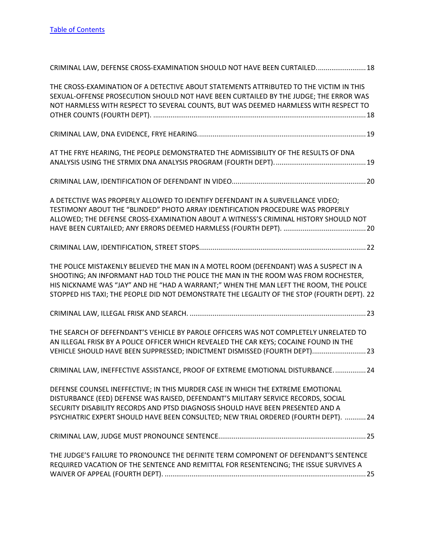| CRIMINAL LAW, DEFENSE CROSS-EXAMINATION SHOULD NOT HAVE BEEN CURTAILED 18                                                                                                                                                                                                                                                                                           |
|---------------------------------------------------------------------------------------------------------------------------------------------------------------------------------------------------------------------------------------------------------------------------------------------------------------------------------------------------------------------|
| THE CROSS-EXAMINATION OF A DETECTIVE ABOUT STATEMENTS ATTRIBUTED TO THE VICTIM IN THIS<br>SEXUAL-OFFENSE PROSECUTION SHOULD NOT HAVE BEEN CURTAILED BY THE JUDGE; THE ERROR WAS<br>NOT HARMLESS WITH RESPECT TO SEVERAL COUNTS, BUT WAS DEEMED HARMLESS WITH RESPECT TO                                                                                             |
|                                                                                                                                                                                                                                                                                                                                                                     |
| AT THE FRYE HEARING, THE PEOPLE DEMONSTRATED THE ADMISSIBILITY OF THE RESULTS OF DNA                                                                                                                                                                                                                                                                                |
|                                                                                                                                                                                                                                                                                                                                                                     |
| A DETECTIVE WAS PROPERLY ALLOWED TO IDENTIFY DEFENDANT IN A SURVEILLANCE VIDEO;<br>TESTIMONY ABOUT THE "BLINDED" PHOTO ARRAY IDENTIFICATION PROCEDURE WAS PROPERLY<br>ALLOWED; THE DEFENSE CROSS-EXAMINATION ABOUT A WITNESS'S CRIMINAL HISTORY SHOULD NOT                                                                                                          |
|                                                                                                                                                                                                                                                                                                                                                                     |
| THE POLICE MISTAKENLY BELIEVED THE MAN IN A MOTEL ROOM (DEFENDANT) WAS A SUSPECT IN A<br>SHOOTING; AN INFORMANT HAD TOLD THE POLICE THE MAN IN THE ROOM WAS FROM ROCHESTER,<br>HIS NICKNAME WAS "JAY" AND HE "HAD A WARRANT;" WHEN THE MAN LEFT THE ROOM, THE POLICE<br>STOPPED HIS TAXI; THE PEOPLE DID NOT DEMONSTRATE THE LEGALITY OF THE STOP (FOURTH DEPT). 22 |
|                                                                                                                                                                                                                                                                                                                                                                     |
| THE SEARCH OF DEFEFNDANT'S VEHICLE BY PAROLE OFFICERS WAS NOT COMPLETELY UNRELATED TO<br>AN ILLEGAL FRISK BY A POLICE OFFICER WHICH REVEALED THE CAR KEYS; COCAINE FOUND IN THE<br>VEHICLE SHOULD HAVE BEEN SUPPRESSED; INDICTMENT DISMISSED (FOURTH DEPT) 23                                                                                                       |
| CRIMINAL LAW, INEFFECTIVE ASSISTANCE, PROOF OF EXTREME EMOTIONAL DISTURBANCE 24                                                                                                                                                                                                                                                                                     |
| DEFENSE COUNSEL INEFFECTIVE; IN THIS MURDER CASE IN WHICH THE EXTREME EMOTIONAL<br>DISTURBANCE (EED) DEFENSE WAS RAISED, DEFENDANT'S MILITARY SERVICE RECORDS, SOCIAL<br>SECURITY DISABILITY RECORDS AND PTSD DIAGNOSIS SHOULD HAVE BEEN PRESENTED AND A<br>PSYCHIATRIC EXPERT SHOULD HAVE BEEN CONSULTED; NEW TRIAL ORDERED (FOURTH DEPT). 24                      |
|                                                                                                                                                                                                                                                                                                                                                                     |
| THE JUDGE'S FAILURE TO PRONOUNCE THE DEFINITE TERM COMPONENT OF DEFENDANT'S SENTENCE<br>REQUIRED VACATION OF THE SENTENCE AND REMITTAL FOR RESENTENCING; THE ISSUE SURVIVES A                                                                                                                                                                                       |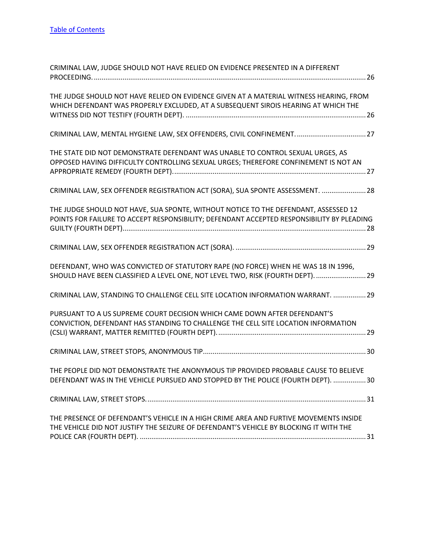| CRIMINAL LAW, JUDGE SHOULD NOT HAVE RELIED ON EVIDENCE PRESENTED IN A DIFFERENT                                                                                                   |
|-----------------------------------------------------------------------------------------------------------------------------------------------------------------------------------|
| THE JUDGE SHOULD NOT HAVE RELIED ON EVIDENCE GIVEN AT A MATERIAL WITNESS HEARING, FROM<br>WHICH DEFENDANT WAS PROPERLY EXCLUDED, AT A SUBSEQUENT SIROIS HEARING AT WHICH THE      |
|                                                                                                                                                                                   |
| THE STATE DID NOT DEMONSTRATE DEFENDANT WAS UNABLE TO CONTROL SEXUAL URGES, AS<br>OPPOSED HAVING DIFFICULTY CONTROLLING SEXUAL URGES; THEREFORE CONFINEMENT IS NOT AN             |
| CRIMINAL LAW, SEX OFFENDER REGISTRATION ACT (SORA), SUA SPONTE ASSESSMENT.  28                                                                                                    |
| THE JUDGE SHOULD NOT HAVE, SUA SPONTE, WITHOUT NOTICE TO THE DEFENDANT, ASSESSED 12<br>POINTS FOR FAILURE TO ACCEPT RESPONSIBILITY; DEFENDANT ACCEPTED RESPONSIBILITY BY PLEADING |
|                                                                                                                                                                                   |
| DEFENDANT, WHO WAS CONVICTED OF STATUTORY RAPE (NO FORCE) WHEN HE WAS 18 IN 1996,<br>SHOULD HAVE BEEN CLASSIFIED A LEVEL ONE, NOT LEVEL TWO, RISK (FOURTH DEPT).  29              |
| CRIMINAL LAW, STANDING TO CHALLENGE CELL SITE LOCATION INFORMATION WARRANT.  29                                                                                                   |
| PURSUANT TO A US SUPREME COURT DECISION WHICH CAME DOWN AFTER DEFENDANT'S<br>CONVICTION, DEFENDANT HAS STANDING TO CHALLENGE THE CELL SITE LOCATION INFORMATION                   |
|                                                                                                                                                                                   |
| THE PEOPLE DID NOT DEMONSTRATE THE ANONYMOUS TIP PROVIDED PROBABLE CAUSE TO BELIEVE<br>DEFENDANT WAS IN THE VEHICLE PURSUED AND STOPPED BY THE POLICE (FOURTH DEPT). 30           |
|                                                                                                                                                                                   |
| THE PRESENCE OF DEFENDANT'S VEHICLE IN A HIGH CRIME AREA AND FURTIVE MOVEMENTS INSIDE<br>THE VEHICLE DID NOT JUSTIFY THE SEIZURE OF DEFENDANT'S VEHICLE BY BLOCKING IT WITH THE   |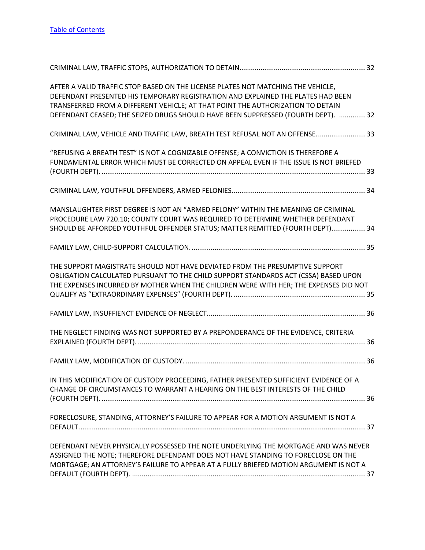| AFTER A VALID TRAFFIC STOP BASED ON THE LICENSE PLATES NOT MATCHING THE VEHICLE,<br>DEFENDANT PRESENTED HIS TEMPORARY REGISTRATION AND EXPLAINED THE PLATES HAD BEEN<br>TRANSFERRED FROM A DIFFERENT VEHICLE; AT THAT POINT THE AUTHORIZATION TO DETAIN<br>DEFENDANT CEASED; THE SEIZED DRUGS SHOULD HAVE BEEN SUPPRESSED (FOURTH DEPT). 32 |
|---------------------------------------------------------------------------------------------------------------------------------------------------------------------------------------------------------------------------------------------------------------------------------------------------------------------------------------------|
| CRIMINAL LAW, VEHICLE AND TRAFFIC LAW, BREATH TEST REFUSAL NOT AN OFFENSE33                                                                                                                                                                                                                                                                 |
| "REFUSING A BREATH TEST" IS NOT A COGNIZABLE OFFENSE; A CONVICTION IS THEREFORE A<br>FUNDAMENTAL ERROR WHICH MUST BE CORRECTED ON APPEAL EVEN IF THE ISSUE IS NOT BRIEFED                                                                                                                                                                   |
|                                                                                                                                                                                                                                                                                                                                             |
| MANSLAUGHTER FIRST DEGREE IS NOT AN "ARMED FELONY" WITHIN THE MEANING OF CRIMINAL<br>PROCEDURE LAW 720.10; COUNTY COURT WAS REQUIRED TO DETERMINE WHETHER DEFENDANT<br>SHOULD BE AFFORDED YOUTHFUL OFFENDER STATUS; MATTER REMITTED (FOURTH DEPT) 34                                                                                        |
|                                                                                                                                                                                                                                                                                                                                             |
| THE SUPPORT MAGISTRATE SHOULD NOT HAVE DEVIATED FROM THE PRESUMPTIVE SUPPORT<br>OBLIGATION CALCULATED PURSUANT TO THE CHILD SUPPORT STANDARDS ACT (CSSA) BASED UPON<br>THE EXPENSES INCURRED BY MOTHER WHEN THE CHILDREN WERE WITH HER; THE EXPENSES DID NOT                                                                                |
|                                                                                                                                                                                                                                                                                                                                             |
| THE NEGLECT FINDING WAS NOT SUPPORTED BY A PREPONDERANCE OF THE EVIDENCE, CRITERIA                                                                                                                                                                                                                                                          |
|                                                                                                                                                                                                                                                                                                                                             |
| IN THIS MODIFICATION OF CUSTODY PROCEEDING, FATHER PRESENTED SUFFICIENT EVIDENCE OF A<br>CHANGE OF CIRCUMSTANCES TO WARRANT A HEARING ON THE BEST INTERESTS OF THE CHILD                                                                                                                                                                    |
| FORECLOSURE, STANDING, ATTORNEY'S FAILURE TO APPEAR FOR A MOTION ARGUMENT IS NOT A                                                                                                                                                                                                                                                          |
| DEFENDANT NEVER PHYSICALLY POSSESSED THE NOTE UNDERLYING THE MORTGAGE AND WAS NEVER<br>ASSIGNED THE NOTE; THEREFORE DEFENDANT DOES NOT HAVE STANDING TO FORECLOSE ON THE<br>MORTGAGE; AN ATTORNEY'S FAILURE TO APPEAR AT A FULLY BRIEFED MOTION ARGUMENT IS NOT A                                                                           |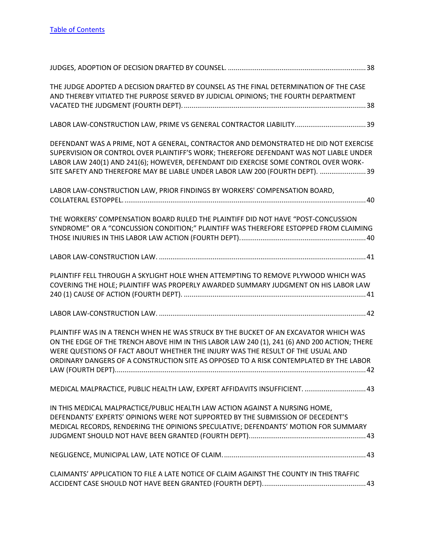| THE JUDGE ADOPTED A DECISION DRAFTED BY COUNSEL AS THE FINAL DETERMINATION OF THE CASE<br>AND THEREBY VITIATED THE PURPOSE SERVED BY JUDICIAL OPINIONS; THE FOURTH DEPARTMENT                                                                                                                                                                                     |  |
|-------------------------------------------------------------------------------------------------------------------------------------------------------------------------------------------------------------------------------------------------------------------------------------------------------------------------------------------------------------------|--|
|                                                                                                                                                                                                                                                                                                                                                                   |  |
|                                                                                                                                                                                                                                                                                                                                                                   |  |
| DEFENDANT WAS A PRIME, NOT A GENERAL, CONTRACTOR AND DEMONSTRATED HE DID NOT EXERCISE<br>SUPERVISION OR CONTROL OVER PLAINTIFF'S WORK; THEREFORE DEFENDANT WAS NOT LIABLE UNDER<br>LABOR LAW 240(1) AND 241(6); HOWEVER, DEFENDANT DID EXERCISE SOME CONTROL OVER WORK-<br>SITE SAFETY AND THEREFORE MAY BE LIABLE UNDER LABOR LAW 200 (FOURTH DEPT).  39         |  |
| LABOR LAW-CONSTRUCTION LAW, PRIOR FINDINGS BY WORKERS' COMPENSATION BOARD,                                                                                                                                                                                                                                                                                        |  |
| THE WORKERS' COMPENSATION BOARD RULED THE PLAINTIFF DID NOT HAVE "POST-CONCUSSION<br>SYNDROME" OR A "CONCUSSION CONDITION;" PLAINTIFF WAS THEREFORE ESTOPPED FROM CLAIMING                                                                                                                                                                                        |  |
|                                                                                                                                                                                                                                                                                                                                                                   |  |
| PLAINTIFF FELL THROUGH A SKYLIGHT HOLE WHEN ATTEMPTING TO REMOVE PLYWOOD WHICH WAS<br>COVERING THE HOLE; PLAINTIFF WAS PROPERLY AWARDED SUMMARY JUDGMENT ON HIS LABOR LAW                                                                                                                                                                                         |  |
|                                                                                                                                                                                                                                                                                                                                                                   |  |
| PLAINTIFF WAS IN A TRENCH WHEN HE WAS STRUCK BY THE BUCKET OF AN EXCAVATOR WHICH WAS<br>ON THE EDGE OF THE TRENCH ABOVE HIM IN THIS LABOR LAW 240 (1), 241 (6) AND 200 ACTION; THERE<br>WERE QUESTIONS OF FACT ABOUT WHETHER THE INJURY WAS THE RESULT OF THE USUAL AND<br>ORDINARY DANGERS OF A CONSTRUCTION SITE AS OPPOSED TO A RISK CONTEMPLATED BY THE LABOR |  |
| MEDICAL MALPRACTICE, PUBLIC HEALTH LAW, EXPERT AFFIDAVITS INSUFFICIENT.  43                                                                                                                                                                                                                                                                                       |  |
| IN THIS MEDICAL MALPRACTICE/PUBLIC HEALTH LAW ACTION AGAINST A NURSING HOME,<br>DEFENDANTS' EXPERTS' OPINIONS WERE NOT SUPPORTED BY THE SUBMISSION OF DECEDENT'S<br>MEDICAL RECORDS, RENDERING THE OPINIONS SPECULATIVE; DEFENDANTS' MOTION FOR SUMMARY                                                                                                           |  |
|                                                                                                                                                                                                                                                                                                                                                                   |  |
| CLAIMANTS' APPLICATION TO FILE A LATE NOTICE OF CLAIM AGAINST THE COUNTY IN THIS TRAFFIC                                                                                                                                                                                                                                                                          |  |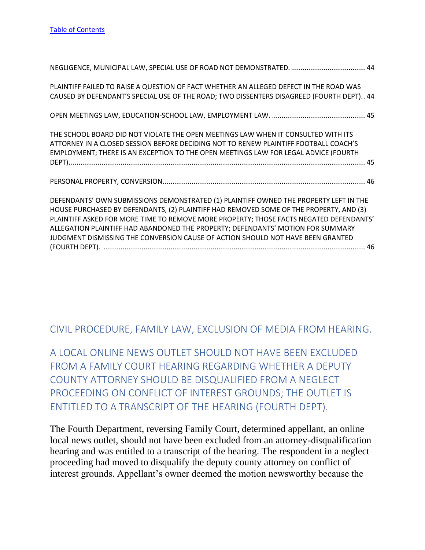| PLAINTIFF FAILED TO RAISE A QUESTION OF FACT WHETHER AN ALLEGED DEFECT IN THE ROAD WAS      |
|---------------------------------------------------------------------------------------------|
| CAUSED BY DEFENDANT'S SPECIAL USE OF THE ROAD; TWO DISSENTERS DISAGREED (FOURTH DEPT). . 44 |
|                                                                                             |
| THE SCHOOL BOARD DID NOT VIOLATE THE OPEN MEETINGS LAW WHEN IT CONSULTED WITH ITS           |
| ATTORNEY IN A CLOSED SESSION BEFORE DECIDING NOT TO RENEW PLAINTIFF FOOTBALL COACH'S        |
| EMPLOYMENT; THERE IS AN EXCEPTION TO THE OPEN MEETINGS LAW FOR LEGAL ADVICE (FOURTH         |
|                                                                                             |
|                                                                                             |
| DEFENDANTS' OWN SUBMISSIONS DEMONSTRATED (1) PLAINTIFF OWNED THE PROPERTY LEFT IN THE       |
| HOUSE PURCHASED BY DEFENDANTS, (2) PLAINTIFF HAD REMOVED SOME OF THE PROPERTY, AND (3)      |
| PLAINTIFF ASKED FOR MORE TIME TO REMOVE MORE PROPERTY; THOSE FACTS NEGATED DEFENDANTS'      |
| ALLEGATION PLAINTIFF HAD ABANDONED THE PROPERTY; DEFENDANTS' MOTION FOR SUMMARY             |
| JUDGMENT DISMISSING THE CONVERSION CAUSE OF ACTION SHOULD NOT HAVE BEEN GRANTED             |
|                                                                                             |

<span id="page-7-0"></span>CIVIL PROCEDURE, FAMILY LAW, EXCLUSION OF MEDIA FROM HEARING.

<span id="page-7-1"></span>A LOCAL ONLINE NEWS OUTLET SHOULD NOT HAVE BEEN EXCLUDED FROM A FAMILY COURT HEARING REGARDING WHETHER A DEPUTY COUNTY ATTORNEY SHOULD BE DISQUALIFIED FROM A NEGLECT PROCEEDING ON CONFLICT OF INTEREST GROUNDS; THE OUTLET IS ENTITLED TO A TRANSCRIPT OF THE HEARING (FOURTH DEPT).

The Fourth Department, reversing Family Court, determined appellant, an online local news outlet, should not have been excluded from an attorney-disqualification hearing and was entitled to a transcript of the hearing. The respondent in a neglect proceeding had moved to disqualify the deputy county attorney on conflict of interest grounds. Appellant's owner deemed the motion newsworthy because the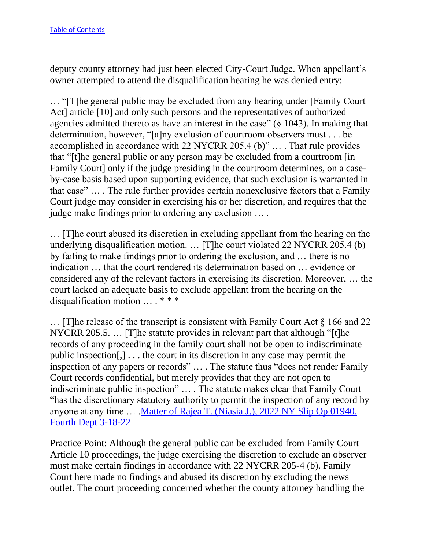deputy county attorney had just been elected City-Court Judge. When appellant's owner attempted to attend the disqualification hearing he was denied entry:

… "[T]he general public may be excluded from any hearing under [Family Court Act] article [10] and only such persons and the representatives of authorized agencies admitted thereto as have an interest in the case" (§ 1043). In making that determination, however, "[a]ny exclusion of courtroom observers must . . . be accomplished in accordance with 22 NYCRR 205.4 (b)" … . That rule provides that "[t]he general public or any person may be excluded from a courtroom [in Family Court] only if the judge presiding in the courtroom determines, on a caseby-case basis based upon supporting evidence, that such exclusion is warranted in that case" … . The rule further provides certain nonexclusive factors that a Family Court judge may consider in exercising his or her discretion, and requires that the judge make findings prior to ordering any exclusion … .

… [T]he court abused its discretion in excluding appellant from the hearing on the underlying disqualification motion. … [T]he court violated 22 NYCRR 205.4 (b) by failing to make findings prior to ordering the exclusion, and … there is no indication … that the court rendered its determination based on … evidence or considered any of the relevant factors in exercising its discretion. Moreover, … the court lacked an adequate basis to exclude appellant from the hearing on the disqualification motion … . \* \* \*

 $\ldots$  [T] he release of the transcript is consistent with Family Court Act  $\S$  166 and 22 NYCRR 205.5. … [T]he statute provides in relevant part that although "[t]he records of any proceeding in the family court shall not be open to indiscriminate public inspection[,] . . . the court in its discretion in any case may permit the inspection of any papers or records" … . The statute thus "does not render Family Court records confidential, but merely provides that they are not open to indiscriminate public inspection" … . The statute makes clear that Family Court "has the discretionary statutory authority to permit the inspection of any record by anyone at any time ... Matter of Rajea T. (Niasia J.), 2022 NY Slip Op 01940, [Fourth Dept 3-18-22](https://nycourts.gov/reporter/3dseries/2022/2022_01940.htm)

Practice Point: Although the general public can be excluded from Family Court Article 10 proceedings, the judge exercising the discretion to exclude an observer must make certain findings in accordance with 22 NYCRR 205-4 (b). Family Court here made no findings and abused its discretion by excluding the news outlet. The court proceeding concerned whether the county attorney handling the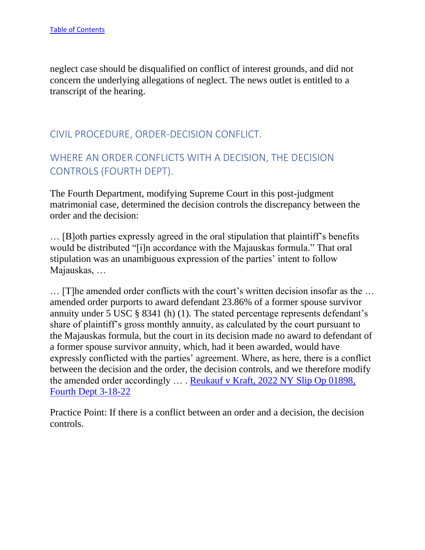neglect case should be disqualified on conflict of interest grounds, and did not concern the underlying allegations of neglect. The news outlet is entitled to a transcript of the hearing.

# <span id="page-9-0"></span>CIVIL PROCEDURE, ORDER-DECISION CONFLICT.

# <span id="page-9-1"></span>WHERE AN ORDER CONFLICTS WITH A DECISION, THE DECISION CONTROLS (FOURTH DEPT).

The Fourth Department, modifying Supreme Court in this post-judgment matrimonial case, determined the decision controls the discrepancy between the order and the decision:

… [B]oth parties expressly agreed in the oral stipulation that plaintiff's benefits would be distributed "[i]n accordance with the Majauskas formula." That oral stipulation was an unambiguous expression of the parties' intent to follow Majauskas, …

… [T]he amended order conflicts with the court's written decision insofar as the … amended order purports to award defendant 23.86% of a former spouse survivor annuity under 5 USC § 8341 (h) (1). The stated percentage represents defendant's share of plaintiff's gross monthly annuity, as calculated by the court pursuant to the Majauskas formula, but the court in its decision made no award to defendant of a former spouse survivor annuity, which, had it been awarded, would have expressly conflicted with the parties' agreement. Where, as here, there is a conflict between the decision and the order, the decision controls, and we therefore modify the amended order accordingly … . [Reukauf v Kraft, 2022 NY Slip Op 01898,](https://nycourts.gov/reporter/3dseries/2022/2022_01898.htm)  [Fourth Dept 3-18-22](https://nycourts.gov/reporter/3dseries/2022/2022_01898.htm)

Practice Point: If there is a conflict between an order and a decision, the decision controls.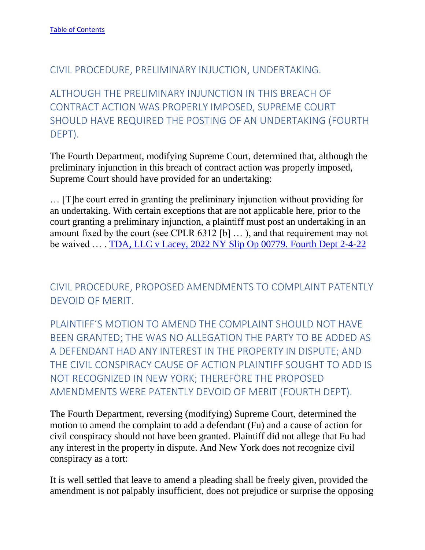#### <span id="page-10-0"></span>CIVIL PROCEDURE, PRELIMINARY INJUCTION, UNDERTAKING.

<span id="page-10-1"></span>ALTHOUGH THE PRELIMINARY INJUNCTION IN THIS BREACH OF CONTRACT ACTION WAS PROPERLY IMPOSED, SUPREME COURT SHOULD HAVE REQUIRED THE POSTING OF AN UNDERTAKING (FOURTH DEPT).

The Fourth Department, modifying Supreme Court, determined that, although the preliminary injunction in this breach of contract action was properly imposed, Supreme Court should have provided for an undertaking:

… [T]he court erred in granting the preliminary injunction without providing for an undertaking. With certain exceptions that are not applicable here, prior to the court granting a preliminary injunction, a plaintiff must post an undertaking in an amount fixed by the court (see CPLR 6312 [b] … ), and that requirement may not be waived … . [TDA, LLC v Lacey, 2022 NY Slip Op 00779.](https://nycourts.gov/reporter/3dseries/2022/2022_00779.htm) [Fourth Dept 2-4-22](https://nycourts.gov/reporter/3dseries/2022/2022_00779.htm)

<span id="page-10-2"></span>CIVIL PROCEDURE, PROPOSED AMENDMENTS TO COMPLAINT PATENTLY DEVOID OF MERIT.

<span id="page-10-3"></span>PLAINTIFF'S MOTION TO AMEND THE COMPLAINT SHOULD NOT HAVE BEEN GRANTED; THE WAS NO ALLEGATION THE PARTY TO BE ADDED AS A DEFENDANT HAD ANY INTEREST IN THE PROPERTY IN DISPUTE; AND THE CIVIL CONSPIRACY CAUSE OF ACTION PLAINTIFF SOUGHT TO ADD IS NOT RECOGNIZED IN NEW YORK; THEREFORE THE PROPOSED AMENDMENTS WERE PATENTLY DEVOID OF MERIT (FOURTH DEPT).

The Fourth Department, reversing (modifying) Supreme Court, determined the motion to amend the complaint to add a defendant (Fu) and a cause of action for civil conspiracy should not have been granted. Plaintiff did not allege that Fu had any interest in the property in dispute. And New York does not recognize civil conspiracy as a tort:

It is well settled that leave to amend a pleading shall be freely given, provided the amendment is not palpably insufficient, does not prejudice or surprise the opposing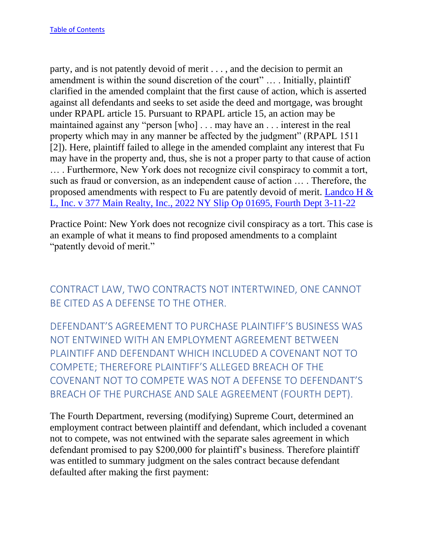party, and is not patently devoid of merit . . . , and the decision to permit an amendment is within the sound discretion of the court" … . Initially, plaintiff clarified in the amended complaint that the first cause of action, which is asserted against all defendants and seeks to set aside the deed and mortgage, was brought under RPAPL article 15. Pursuant to RPAPL article 15, an action may be maintained against any "person [who] . . . may have an . . . interest in the real property which may in any manner be affected by the judgment" (RPAPL 1511 [2]). Here, plaintiff failed to allege in the amended complaint any interest that Fu may have in the property and, thus, she is not a proper party to that cause of action … . Furthermore, New York does not recognize civil conspiracy to commit a tort, such as fraud or conversion, as an independent cause of action … . Therefore, the proposed amendments with respect to Fu are patently devoid of merit. Landco H  $\&$ [L, Inc. v 377 Main Realty, Inc., 2022 NY Slip Op 01695, Fourth Dept 3-11-22](https://nycourts.gov/reporter/3dseries/2022/2022_01695.htm)

Practice Point: New York does not recognize civil conspiracy as a tort. This case is an example of what it means to find proposed amendments to a complaint "patently devoid of merit."

<span id="page-11-0"></span>CONTRACT LAW, TWO CONTRACTS NOT INTERTWINED, ONE CANNOT BE CITED AS A DEFENSE TO THE OTHER.

<span id="page-11-1"></span>DEFENDANT'S AGREEMENT TO PURCHASE PLAINTIFF'S BUSINESS WAS NOT ENTWINED WITH AN EMPLOYMENT AGREEMENT BETWEEN PLAINTIFF AND DEFENDANT WHICH INCLUDED A COVENANT NOT TO COMPETE; THEREFORE PLAINTIFF'S ALLEGED BREACH OF THE COVENANT NOT TO COMPETE WAS NOT A DEFENSE TO DEFENDANT'S BREACH OF THE PURCHASE AND SALE AGREEMENT (FOURTH DEPT).

The Fourth Department, reversing (modifying) Supreme Court, determined an employment contract between plaintiff and defendant, which included a covenant not to compete, was not entwined with the separate sales agreement in which defendant promised to pay \$200,000 for plaintiff's business. Therefore plaintiff was entitled to summary judgment on the sales contract because defendant defaulted after making the first payment: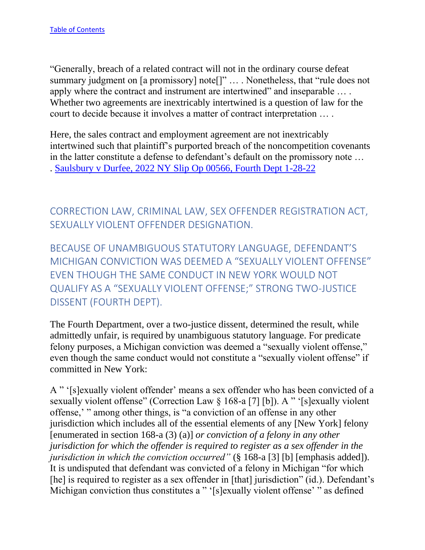"Generally, breach of a related contract will not in the ordinary course defeat summary judgment on [a promissory] note[]" … . Nonetheless, that "rule does not apply where the contract and instrument are intertwined" and inseparable … . Whether two agreements are inextricably intertwined is a question of law for the court to decide because it involves a matter of contract interpretation … .

Here, the sales contract and employment agreement are not inextricably intertwined such that plaintiff's purported breach of the noncompetition covenants in the latter constitute a defense to defendant's default on the promissory note … . [Saulsbury v Durfee, 2022 NY Slip Op 00566, Fourth Dept 1-28-22](https://nycourts.gov/reporter/3dseries/2022/2022_00566.htm)

<span id="page-12-0"></span>CORRECTION LAW, CRIMINAL LAW, SEX OFFENDER REGISTRATION ACT, SEXUALLY VIOLENT OFFENDER DESIGNATION.

<span id="page-12-1"></span>BECAUSE OF UNAMBIGUOUS STATUTORY LANGUAGE, DEFENDANT'S MICHIGAN CONVICTION WAS DEEMED A "SEXUALLY VIOLENT OFFENSE" EVEN THOUGH THE SAME CONDUCT IN NEW YORK WOULD NOT QUALIFY AS A "SEXUALLY VIOLENT OFFENSE;" STRONG TWO-JUSTICE DISSENT (FOURTH DEPT).

The Fourth Department, over a two-justice dissent, determined the result, while admittedly unfair, is required by unambiguous statutory language. For predicate felony purposes, a Michigan conviction was deemed a "sexually violent offense," even though the same conduct would not constitute a "sexually violent offense" if committed in New York:

A " '[s]exually violent offender' means a sex offender who has been convicted of a sexually violent offense" (Correction Law § 168-a [7] [b]). A " '[s]exually violent offense,' " among other things, is "a conviction of an offense in any other jurisdiction which includes all of the essential elements of any [New York] felony [enumerated in section 168-a (3) (a)] *or conviction of a felony in any other jurisdiction for which the offender is required to register as a sex offender in the jurisdiction in which the conviction occurred"* (§ 168-a [3] [b] [emphasis added]). It is undisputed that defendant was convicted of a felony in Michigan "for which [he] is required to register as a sex offender in [that] jurisdiction" (id.). Defendant's Michigan conviction thus constitutes a " '[s]exually violent offense' " as defined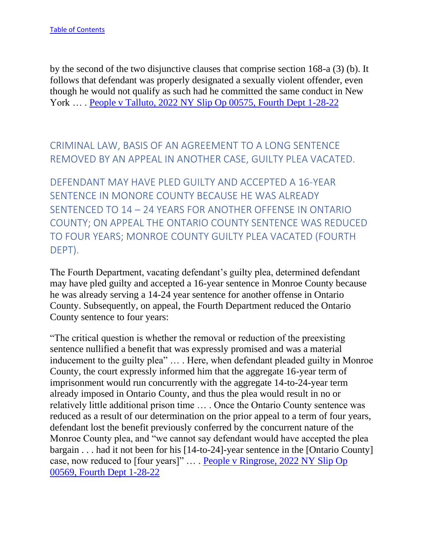by the second of the two disjunctive clauses that comprise section 168-a (3) (b). It follows that defendant was properly designated a sexually violent offender, even though he would not qualify as such had he committed the same conduct in New York ... . [People v Talluto, 2022 NY Slip Op 00575, Fourth Dept 1-28-22](https://nycourts.gov/reporter/3dseries/2022/2022_00575.htm)

<span id="page-13-0"></span>CRIMINAL LAW, BASIS OF AN AGREEMENT TO A LONG SENTENCE REMOVED BY AN APPEAL IN ANOTHER CASE, GUILTY PLEA VACATED.

<span id="page-13-1"></span>DEFENDANT MAY HAVE PLED GUILTY AND ACCEPTED A 16-YEAR SENTENCE IN MONORE COUNTY BECAUSE HE WAS ALREADY SENTENCED TO 14 – 24 YEARS FOR ANOTHER OFFENSE IN ONTARIO COUNTY; ON APPEAL THE ONTARIO COUNTY SENTENCE WAS REDUCED TO FOUR YEARS; MONROE COUNTY GUILTY PLEA VACATED (FOURTH DEPT).

The Fourth Department, vacating defendant's guilty plea, determined defendant may have pled guilty and accepted a 16-year sentence in Monroe County because he was already serving a 14-24 year sentence for another offense in Ontario County. Subsequently, on appeal, the Fourth Department reduced the Ontario County sentence to four years:

"The critical question is whether the removal or reduction of the preexisting sentence nullified a benefit that was expressly promised and was a material inducement to the guilty plea" … . Here, when defendant pleaded guilty in Monroe County, the court expressly informed him that the aggregate 16-year term of imprisonment would run concurrently with the aggregate 14-to-24-year term already imposed in Ontario County, and thus the plea would result in no or relatively little additional prison time … . Once the Ontario County sentence was reduced as a result of our determination on the prior appeal to a term of four years, defendant lost the benefit previously conferred by the concurrent nature of the Monroe County plea, and "we cannot say defendant would have accepted the plea bargain . . . had it not been for his [14-to-24]-year sentence in the [Ontario County] case, now reduced to [four years]" … . [People v Ringrose, 2022 NY Slip Op](https://nycourts.gov/reporter/3dseries/2022/2022_00569.htm)  [00569, Fourth Dept 1-28-22](https://nycourts.gov/reporter/3dseries/2022/2022_00569.htm)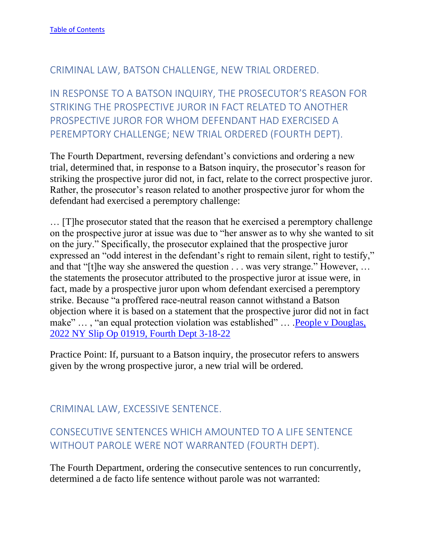#### <span id="page-14-0"></span>CRIMINAL LAW, BATSON CHALLENGE, NEW TRIAL ORDERED.

<span id="page-14-1"></span>IN RESPONSE TO A BATSON INQUIRY, THE PROSECUTOR'S REASON FOR STRIKING THE PROSPECTIVE JUROR IN FACT RELATED TO ANOTHER PROSPECTIVE JUROR FOR WHOM DEFENDANT HAD EXERCISED A PEREMPTORY CHALLENGE; NEW TRIAL ORDERED (FOURTH DEPT).

The Fourth Department, reversing defendant's convictions and ordering a new trial, determined that, in response to a Batson inquiry, the prosecutor's reason for striking the prospective juror did not, in fact, relate to the correct prospective juror. Rather, the prosecutor's reason related to another prospective juror for whom the defendant had exercised a peremptory challenge:

… [T]he prosecutor stated that the reason that he exercised a peremptory challenge on the prospective juror at issue was due to "her answer as to why she wanted to sit on the jury." Specifically, the prosecutor explained that the prospective juror expressed an "odd interest in the defendant's right to remain silent, right to testify," and that "[t]he way she answered the question . . . was very strange." However, … the statements the prosecutor attributed to the prospective juror at issue were, in fact, made by a prospective juror upon whom defendant exercised a peremptory strike. Because "a proffered race-neutral reason cannot withstand a Batson objection where it is based on a statement that the prospective juror did not in fact make" ..., "an equal protection violation was established" ... People v Douglas, [2022 NY Slip Op 01919, Fourth Dept 3-18-22](https://nycourts.gov/reporter/3dseries/2022/2022_01919.htm)

Practice Point: If, pursuant to a Batson inquiry, the prosecutor refers to answers given by the wrong prospective juror, a new trial will be ordered.

#### <span id="page-14-2"></span>CRIMINAL LAW, EXCESSIVE SENTENCE.

# <span id="page-14-3"></span>CONSECUTIVE SENTENCES WHICH AMOUNTED TO A LIFE SENTENCE WITHOUT PAROLE WERE NOT WARRANTED (FOURTH DEPT).

The Fourth Department, ordering the consecutive sentences to run concurrently, determined a de facto life sentence without parole was not warranted: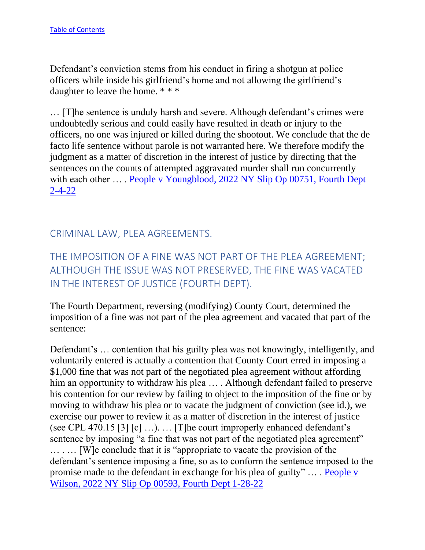Defendant's conviction stems from his conduct in firing a shotgun at police officers while inside his girlfriend's home and not allowing the girlfriend's daughter to leave the home. \* \* \*

… [T]he sentence is unduly harsh and severe. Although defendant's crimes were undoubtedly serious and could easily have resulted in death or injury to the officers, no one was injured or killed during the shootout. We conclude that the de facto life sentence without parole is not warranted here. We therefore modify the judgment as a matter of discretion in the interest of justice by directing that the sentences on the counts of attempted aggravated murder shall run concurrently with each other .... People v Youngblood, 2022 NY Slip Op 00751, Fourth Dept [2-4-22](https://nycourts.gov/reporter/3dseries/2022/2022_00751.htm)

## <span id="page-15-0"></span>CRIMINAL LAW, PLEA AGREEMENTS.

<span id="page-15-1"></span>THE IMPOSITION OF A FINE WAS NOT PART OF THE PLEA AGREEMENT; ALTHOUGH THE ISSUE WAS NOT PRESERVED, THE FINE WAS VACATED IN THE INTEREST OF JUSTICE (FOURTH DEPT).

The Fourth Department, reversing (modifying) County Court, determined the imposition of a fine was not part of the plea agreement and vacated that part of the sentence:

Defendant's … contention that his guilty plea was not knowingly, intelligently, and voluntarily entered is actually a contention that County Court erred in imposing a \$1,000 fine that was not part of the negotiated plea agreement without affording him an opportunity to withdraw his plea … . Although defendant failed to preserve his contention for our review by failing to object to the imposition of the fine or by moving to withdraw his plea or to vacate the judgment of conviction (see id.), we exercise our power to review it as a matter of discretion in the interest of justice (see CPL 470.15 [3] [c] …). … [T]he court improperly enhanced defendant's sentence by imposing "a fine that was not part of the negotiated plea agreement" ....... [W]e conclude that it is "appropriate to vacate the provision of the defendant's sentence imposing a fine, so as to conform the sentence imposed to the promise made to the defendant in exchange for his plea of guilty" … . [People v](https://nycourts.gov/reporter/3dseries/2022/2022_00593.htm)  [Wilson, 2022 NY Slip Op 00593, Fourth Dept 1-28-22](https://nycourts.gov/reporter/3dseries/2022/2022_00593.htm)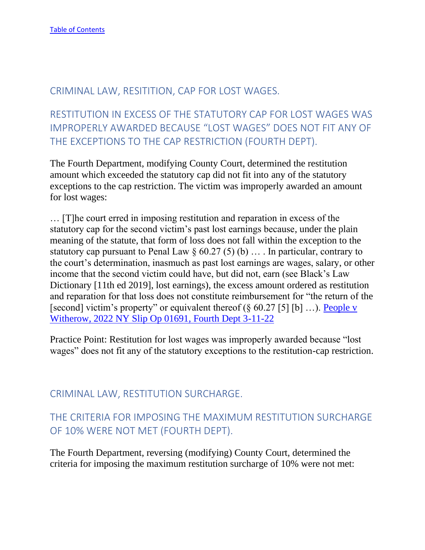#### <span id="page-16-0"></span>CRIMINAL LAW, RESITITION, CAP FOR LOST WAGES.

# <span id="page-16-1"></span>RESTITUTION IN EXCESS OF THE STATUTORY CAP FOR LOST WAGES WAS IMPROPERLY AWARDED BECAUSE "LOST WAGES" DOES NOT FIT ANY OF THE EXCEPTIONS TO THE CAP RESTRICTION (FOURTH DEPT).

The Fourth Department, modifying County Court, determined the restitution amount which exceeded the statutory cap did not fit into any of the statutory exceptions to the cap restriction. The victim was improperly awarded an amount for lost wages:

… [T]he court erred in imposing restitution and reparation in excess of the statutory cap for the second victim's past lost earnings because, under the plain meaning of the statute, that form of loss does not fall within the exception to the statutory cap pursuant to Penal Law  $\S 60.27(5)$  (b) ... In particular, contrary to the court's determination, inasmuch as past lost earnings are wages, salary, or other income that the second victim could have, but did not, earn (see Black's Law Dictionary [11th ed 2019], lost earnings), the excess amount ordered as restitution and reparation for that loss does not constitute reimbursement for "the return of the [second] victim's property" or equivalent thereof  $(\S 60.27 \S]$  [b] ...). People v [Witherow, 2022 NY Slip Op 01691, Fourth Dept 3-11-22](https://nycourts.gov/reporter/3dseries/2022/2022_01691.htm)

Practice Point: Restitution for lost wages was improperly awarded because "lost wages" does not fit any of the statutory exceptions to the restitution-cap restriction.

#### <span id="page-16-2"></span>CRIMINAL LAW, RESTITUTION SURCHARGE.

# <span id="page-16-3"></span>THE CRITERIA FOR IMPOSING THE MAXIMUM RESTITUTION SURCHARGE OF 10% WERE NOT MET (FOURTH DEPT).

The Fourth Department, reversing (modifying) County Court, determined the criteria for imposing the maximum restitution surcharge of 10% were not met: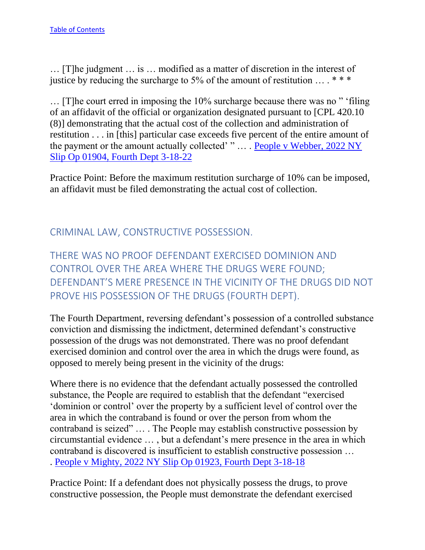… [T]he judgment … is … modified as a matter of discretion in the interest of justice by reducing the surcharge to 5% of the amount of restitution … . \* \* \*

… [T]he court erred in imposing the 10% surcharge because there was no " 'filing of an affidavit of the official or organization designated pursuant to [CPL 420.10 (8)] demonstrating that the actual cost of the collection and administration of restitution . . . in [this] particular case exceeds five percent of the entire amount of the payment or the amount actually collected' " ... . People v Webber, 2022 NY [Slip Op 01904, Fourth Dept 3-18-22](https://nycourts.gov/reporter/3dseries/2022/2022_01904.htm)

Practice Point: Before the maximum restitution surcharge of 10% can be imposed, an affidavit must be filed demonstrating the actual cost of collection.

<span id="page-17-0"></span>CRIMINAL LAW, CONSTRUCTIVE POSSESSION.

<span id="page-17-1"></span>THERE WAS NO PROOF DEFENDANT EXERCISED DOMINION AND CONTROL OVER THE AREA WHERE THE DRUGS WERE FOUND; DEFENDANT'S MERE PRESENCE IN THE VICINITY OF THE DRUGS DID NOT PROVE HIS POSSESSION OF THE DRUGS (FOURTH DEPT).

The Fourth Department, reversing defendant's possession of a controlled substance conviction and dismissing the indictment, determined defendant's constructive possession of the drugs was not demonstrated. There was no proof defendant exercised dominion and control over the area in which the drugs were found, as opposed to merely being present in the vicinity of the drugs:

Where there is no evidence that the defendant actually possessed the controlled substance, the People are required to establish that the defendant "exercised 'dominion or control' over the property by a sufficient level of control over the area in which the contraband is found or over the person from whom the contraband is seized" … . The People may establish constructive possession by circumstantial evidence … , but a defendant's mere presence in the area in which contraband is discovered is insufficient to establish constructive possession … . People v Mighty, 2022 [NY Slip Op 01923, Fourth Dept 3-18-18](https://nycourts.gov/reporter/3dseries/2022/2022_01923.htm)

Practice Point: If a defendant does not physically possess the drugs, to prove constructive possession, the People must demonstrate the defendant exercised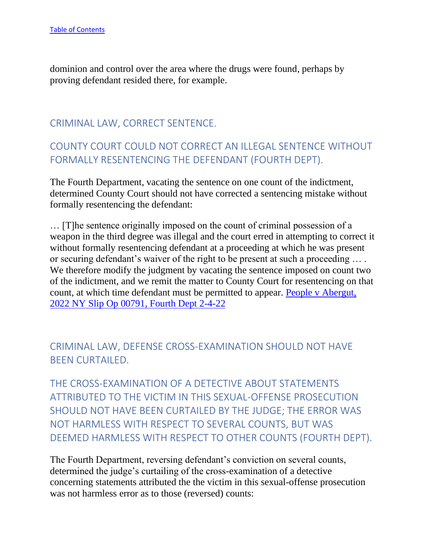dominion and control over the area where the drugs were found, perhaps by proving defendant resided there, for example.

#### <span id="page-18-0"></span>CRIMINAL LAW, CORRECT SENTENCE.

# <span id="page-18-1"></span>COUNTY COURT COULD NOT CORRECT AN ILLEGAL SENTENCE WITHOUT FORMALLY RESENTENCING THE DEFENDANT (FOURTH DEPT).

The Fourth Department, vacating the sentence on one count of the indictment, determined County Court should not have corrected a sentencing mistake without formally resentencing the defendant:

… [T]he sentence originally imposed on the count of criminal possession of a weapon in the third degree was illegal and the court erred in attempting to correct it without formally resentencing defendant at a proceeding at which he was present or securing defendant's waiver of the right to be present at such a proceeding … . We therefore modify the judgment by vacating the sentence imposed on count two of the indictment, and we remit the matter to County Court for resentencing on that count, at which time defendant must be permitted to appear. [People v Abergut,](https://nycourts.gov/reporter/3dseries/2022/2022_00791.htm)  [2022 NY Slip Op 00791, Fourth Dept 2-4-22](https://nycourts.gov/reporter/3dseries/2022/2022_00791.htm)

# <span id="page-18-2"></span>CRIMINAL LAW, DEFENSE CROSS-EXAMINATION SHOULD NOT HAVE BEEN CURTAILED.

<span id="page-18-3"></span>THE CROSS-EXAMINATION OF A DETECTIVE ABOUT STATEMENTS ATTRIBUTED TO THE VICTIM IN THIS SEXUAL-OFFENSE PROSECUTION SHOULD NOT HAVE BEEN CURTAILED BY THE JUDGE; THE ERROR WAS NOT HARMLESS WITH RESPECT TO SEVERAL COUNTS, BUT WAS DEEMED HARMLESS WITH RESPECT TO OTHER COUNTS (FOURTH DEPT).

The Fourth Department, reversing defendant's conviction on several counts, determined the judge's curtailing of the cross-examination of a detective concerning statements attributed the the victim in this sexual-offense prosecution was not harmless error as to those (reversed) counts: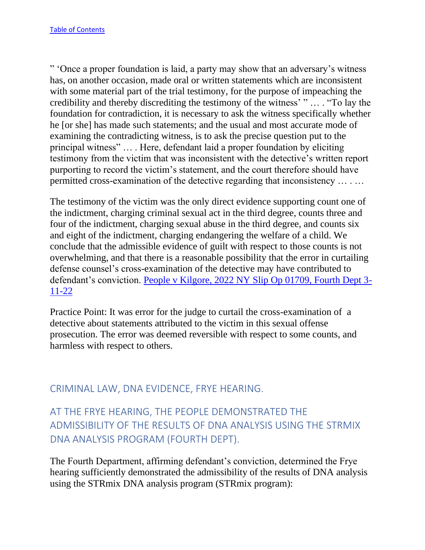" 'Once a proper foundation is laid, a party may show that an adversary's witness has, on another occasion, made oral or written statements which are inconsistent with some material part of the trial testimony, for the purpose of impeaching the credibility and thereby discrediting the testimony of the witness' " … . "To lay the foundation for contradiction, it is necessary to ask the witness specifically whether he [or she] has made such statements; and the usual and most accurate mode of examining the contradicting witness, is to ask the precise question put to the principal witness" … . Here, defendant laid a proper foundation by eliciting testimony from the victim that was inconsistent with the detective's written report purporting to record the victim's statement, and the court therefore should have permitted cross-examination of the detective regarding that inconsistency … . …

The testimony of the victim was the only direct evidence supporting count one of the indictment, charging criminal sexual act in the third degree, counts three and four of the indictment, charging sexual abuse in the third degree, and counts six and eight of the indictment, charging endangering the welfare of a child. We conclude that the admissible evidence of guilt with respect to those counts is not overwhelming, and that there is a reasonable possibility that the error in curtailing defense counsel's cross-examination of the detective may have contributed to defendant's conviction. [People v Kilgore, 2022 NY Slip Op 01709, Fourth Dept 3-](https://nycourts.gov/reporter/3dseries/2022/2022_01709.htm) [11-22](https://nycourts.gov/reporter/3dseries/2022/2022_01709.htm)

Practice Point: It was error for the judge to curtail the cross-examination of a detective about statements attributed to the victim in this sexual offense prosecution. The error was deemed reversible with respect to some counts, and harmless with respect to others.

#### <span id="page-19-0"></span>CRIMINAL LAW, DNA EVIDENCE, FRYE HEARING.

# <span id="page-19-1"></span>AT THE FRYE HEARING, THE PEOPLE DEMONSTRATED THE ADMISSIBILITY OF THE RESULTS OF DNA ANALYSIS USING THE STRMIX DNA ANALYSIS PROGRAM (FOURTH DEPT).

The Fourth Department, affirming defendant's conviction, determined the Frye hearing sufficiently demonstrated the admissibility of the results of DNA analysis using the STRmix DNA analysis program (STRmix program):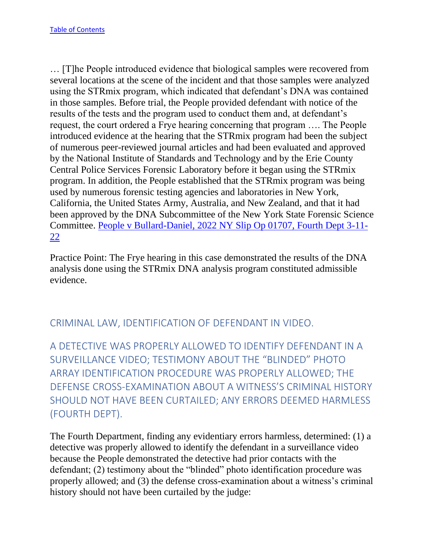… [T]he People introduced evidence that biological samples were recovered from several locations at the scene of the incident and that those samples were analyzed using the STRmix program, which indicated that defendant's DNA was contained in those samples. Before trial, the People provided defendant with notice of the results of the tests and the program used to conduct them and, at defendant's request, the court ordered a Frye hearing concerning that program …. The People introduced evidence at the hearing that the STRmix program had been the subject of numerous peer-reviewed journal articles and had been evaluated and approved by the National Institute of Standards and Technology and by the Erie County Central Police Services Forensic Laboratory before it began using the STRmix program. In addition, the People established that the STRmix program was being used by numerous forensic testing agencies and laboratories in New York, California, the United States Army, Australia, and New Zealand, and that it had been approved by the DNA Subcommittee of the New York State Forensic Science Committee. [People v Bullard-Daniel, 2022 NY Slip Op 01707, Fourth Dept 3-11-](https://nycourts.gov/reporter/3dseries/2022/2022_01707.htm) [22](https://nycourts.gov/reporter/3dseries/2022/2022_01707.htm)

Practice Point: The Frye hearing in this case demonstrated the results of the DNA analysis done using the STRmix DNA analysis program constituted admissible evidence.

#### <span id="page-20-0"></span>CRIMINAL LAW, IDENTIFICATION OF DEFENDANT IN VIDEO.

<span id="page-20-1"></span>A DETECTIVE WAS PROPERLY ALLOWED TO IDENTIFY DEFENDANT IN A SURVEILLANCE VIDEO; TESTIMONY ABOUT THE "BLINDED" PHOTO ARRAY IDENTIFICATION PROCEDURE WAS PROPERLY ALLOWED; THE DEFENSE CROSS-EXAMINATION ABOUT A WITNESS'S CRIMINAL HISTORY SHOULD NOT HAVE BEEN CURTAILED; ANY ERRORS DEEMED HARMLESS (FOURTH DEPT).

The Fourth Department, finding any evidentiary errors harmless, determined: (1) a detective was properly allowed to identify the defendant in a surveillance video because the People demonstrated the detective had prior contacts with the defendant; (2) testimony about the "blinded" photo identification procedure was properly allowed; and (3) the defense cross-examination about a witness's criminal history should not have been curtailed by the judge: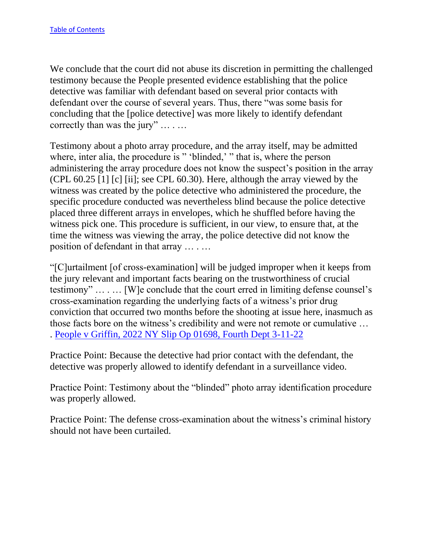We conclude that the court did not abuse its discretion in permitting the challenged testimony because the People presented evidence establishing that the police detective was familiar with defendant based on several prior contacts with defendant over the course of several years. Thus, there "was some basis for concluding that the [police detective] was more likely to identify defendant correctly than was the jury" … . …

Testimony about a photo array procedure, and the array itself, may be admitted where, inter alia, the procedure is " 'blinded,' " that is, where the person administering the array procedure does not know the suspect's position in the array (CPL 60.25 [1] [c] [ii]; see CPL 60.30). Here, although the array viewed by the witness was created by the police detective who administered the procedure, the specific procedure conducted was nevertheless blind because the police detective placed three different arrays in envelopes, which he shuffled before having the witness pick one. This procedure is sufficient, in our view, to ensure that, at the time the witness was viewing the array, the police detective did not know the position of defendant in that array … . …

"[C]urtailment [of cross-examination] will be judged improper when it keeps from the jury relevant and important facts bearing on the trustworthiness of crucial testimony" … . … [W]e conclude that the court erred in limiting defense counsel's cross-examination regarding the underlying facts of a witness's prior drug conviction that occurred two months before the shooting at issue here, inasmuch as those facts bore on the witness's credibility and were not remote or cumulative … . [People v Griffin, 2022 NY Slip Op 01698, Fourth Dept 3-11-22](https://nycourts.gov/reporter/3dseries/2022/2022_01698.htm)

Practice Point: Because the detective had prior contact with the defendant, the detective was properly allowed to identify defendant in a surveillance video.

Practice Point: Testimony about the "blinded" photo array identification procedure was properly allowed.

Practice Point: The defense cross-examination about the witness's criminal history should not have been curtailed.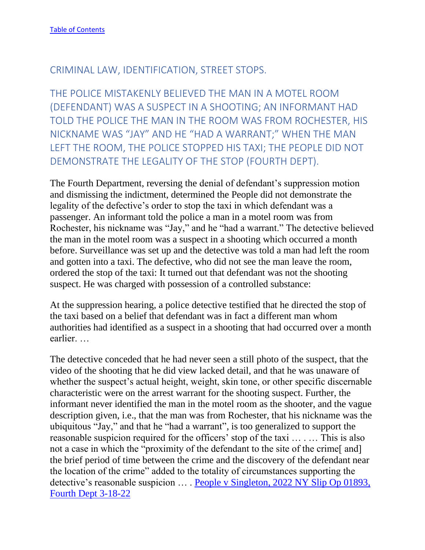#### <span id="page-22-0"></span>CRIMINAL LAW, IDENTIFICATION, STREET STOPS.

<span id="page-22-1"></span>THE POLICE MISTAKENLY BELIEVED THE MAN IN A MOTEL ROOM (DEFENDANT) WAS A SUSPECT IN A SHOOTING; AN INFORMANT HAD TOLD THE POLICE THE MAN IN THE ROOM WAS FROM ROCHESTER, HIS NICKNAME WAS "JAY" AND HE "HAD A WARRANT;" WHEN THE MAN LEFT THE ROOM, THE POLICE STOPPED HIS TAXI; THE PEOPLE DID NOT DEMONSTRATE THE LEGALITY OF THE STOP (FOURTH DEPT).

The Fourth Department, reversing the denial of defendant's suppression motion and dismissing the indictment, determined the People did not demonstrate the legality of the defective's order to stop the taxi in which defendant was a passenger. An informant told the police a man in a motel room was from Rochester, his nickname was "Jay," and he "had a warrant." The detective believed the man in the motel room was a suspect in a shooting which occurred a month before. Surveillance was set up and the detective was told a man had left the room and gotten into a taxi. The defective, who did not see the man leave the room, ordered the stop of the taxi: It turned out that defendant was not the shooting suspect. He was charged with possession of a controlled substance:

At the suppression hearing, a police detective testified that he directed the stop of the taxi based on a belief that defendant was in fact a different man whom authorities had identified as a suspect in a shooting that had occurred over a month earlier. …

The detective conceded that he had never seen a still photo of the suspect, that the video of the shooting that he did view lacked detail, and that he was unaware of whether the suspect's actual height, weight, skin tone, or other specific discernable characteristic were on the arrest warrant for the shooting suspect. Further, the informant never identified the man in the motel room as the shooter, and the vague description given, i.e., that the man was from Rochester, that his nickname was the ubiquitous "Jay," and that he "had a warrant", is too generalized to support the reasonable suspicion required for the officers' stop of the taxi … . … This is also not a case in which the "proximity of the defendant to the site of the crime[ and] the brief period of time between the crime and the discovery of the defendant near the location of the crime" added to the totality of circumstances supporting the detective's reasonable suspicion … . [People v Singleton, 2022 NY Slip Op 01893,](https://nycourts.gov/reporter/3dseries/2022/2022_01893.htm)  [Fourth Dept 3-18-22](https://nycourts.gov/reporter/3dseries/2022/2022_01893.htm)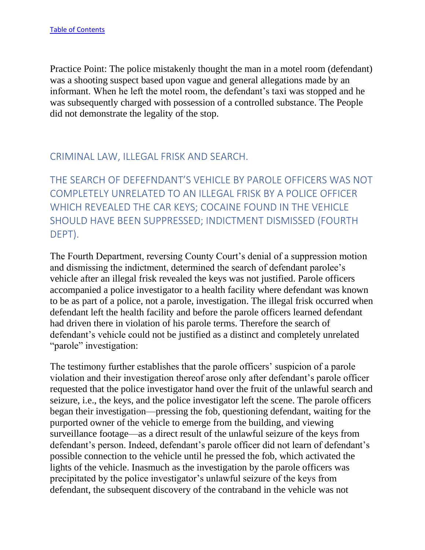Practice Point: The police mistakenly thought the man in a motel room (defendant) was a shooting suspect based upon vague and general allegations made by an informant. When he left the motel room, the defendant's taxi was stopped and he was subsequently charged with possession of a controlled substance. The People did not demonstrate the legality of the stop.

#### <span id="page-23-0"></span>CRIMINAL LAW, ILLEGAL FRISK AND SEARCH.

<span id="page-23-1"></span>THE SEARCH OF DEFEFNDANT'S VEHICLE BY PAROLE OFFICERS WAS NOT COMPLETELY UNRELATED TO AN ILLEGAL FRISK BY A POLICE OFFICER WHICH REVEALED THE CAR KEYS; COCAINE FOUND IN THE VEHICLE SHOULD HAVE BEEN SUPPRESSED; INDICTMENT DISMISSED (FOURTH DEPT).

The Fourth Department, reversing County Court's denial of a suppression motion and dismissing the indictment, determined the search of defendant parolee's vehicle after an illegal frisk revealed the keys was not justified. Parole officers accompanied a police investigator to a health facility where defendant was known to be as part of a police, not a parole, investigation. The illegal frisk occurred when defendant left the health facility and before the parole officers learned defendant had driven there in violation of his parole terms. Therefore the search of defendant's vehicle could not be justified as a distinct and completely unrelated "parole" investigation:

The testimony further establishes that the parole officers' suspicion of a parole violation and their investigation thereof arose only after defendant's parole officer requested that the police investigator hand over the fruit of the unlawful search and seizure, i.e., the keys, and the police investigator left the scene. The parole officers began their investigation—pressing the fob, questioning defendant, waiting for the purported owner of the vehicle to emerge from the building, and viewing surveillance footage—as a direct result of the unlawful seizure of the keys from defendant's person. Indeed, defendant's parole officer did not learn of defendant's possible connection to the vehicle until he pressed the fob, which activated the lights of the vehicle. Inasmuch as the investigation by the parole officers was precipitated by the police investigator's unlawful seizure of the keys from defendant, the subsequent discovery of the contraband in the vehicle was not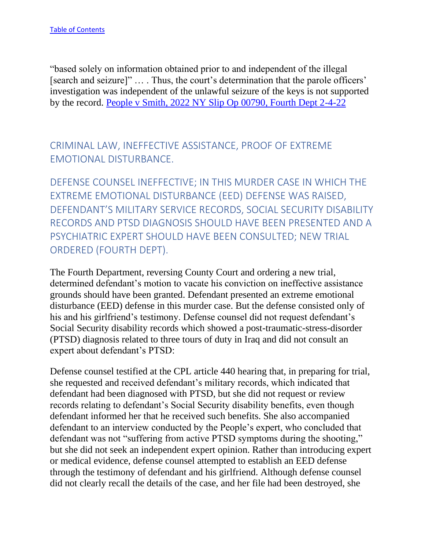"based solely on information obtained prior to and independent of the illegal [search and seizure]" … . Thus, the court's determination that the parole officers' investigation was independent of the unlawful seizure of the keys is not supported by the record. [People v Smith, 2022 NY Slip Op 00790, Fourth Dept 2-4-22](https://nycourts.gov/reporter/3dseries/2022/2022_00790.htm)

<span id="page-24-0"></span>CRIMINAL LAW, INEFFECTIVE ASSISTANCE, PROOF OF EXTREME EMOTIONAL DISTURBANCE.

<span id="page-24-1"></span>DEFENSE COUNSEL INEFFECTIVE; IN THIS MURDER CASE IN WHICH THE EXTREME EMOTIONAL DISTURBANCE (EED) DEFENSE WAS RAISED, DEFENDANT'S MILITARY SERVICE RECORDS, SOCIAL SECURITY DISABILITY RECORDS AND PTSD DIAGNOSIS SHOULD HAVE BEEN PRESENTED AND A PSYCHIATRIC EXPERT SHOULD HAVE BEEN CONSULTED; NEW TRIAL ORDERED (FOURTH DEPT).

The Fourth Department, reversing County Court and ordering a new trial, determined defendant's motion to vacate his conviction on ineffective assistance grounds should have been granted. Defendant presented an extreme emotional disturbance (EED) defense in this murder case. But the defense consisted only of his and his girlfriend's testimony. Defense counsel did not request defendant's Social Security disability records which showed a post-traumatic-stress-disorder (PTSD) diagnosis related to three tours of duty in Iraq and did not consult an expert about defendant's PTSD:

Defense counsel testified at the CPL article 440 hearing that, in preparing for trial, she requested and received defendant's military records, which indicated that defendant had been diagnosed with PTSD, but she did not request or review records relating to defendant's Social Security disability benefits, even though defendant informed her that he received such benefits. She also accompanied defendant to an interview conducted by the People's expert, who concluded that defendant was not "suffering from active PTSD symptoms during the shooting," but she did not seek an independent expert opinion. Rather than introducing expert or medical evidence, defense counsel attempted to establish an EED defense through the testimony of defendant and his girlfriend. Although defense counsel did not clearly recall the details of the case, and her file had been destroyed, she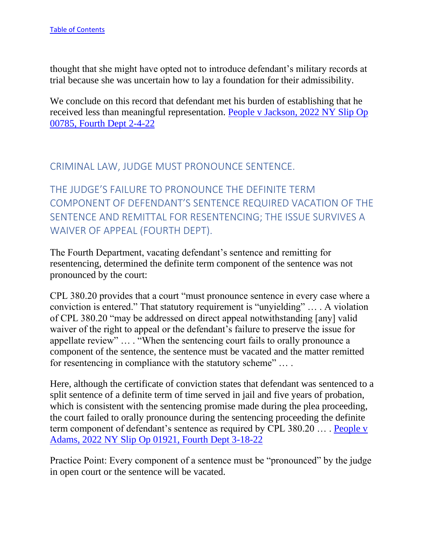thought that she might have opted not to introduce defendant's military records at trial because she was uncertain how to lay a foundation for their admissibility.

We conclude on this record that defendant met his burden of establishing that he received less than meaningful representation. [People v Jackson, 2022 NY Slip Op](https://nycourts.gov/reporter/3dseries/2022/2022_00785.htm)  [00785, Fourth Dept 2-4-22](https://nycourts.gov/reporter/3dseries/2022/2022_00785.htm)

<span id="page-25-0"></span>CRIMINAL LAW, JUDGE MUST PRONOUNCE SENTENCE.

<span id="page-25-1"></span>THE JUDGE'S FAILURE TO PRONOUNCE THE DEFINITE TERM COMPONENT OF DEFENDANT'S SENTENCE REQUIRED VACATION OF THE SENTENCE AND REMITTAL FOR RESENTENCING; THE ISSUE SURVIVES A WAIVER OF APPEAL (FOURTH DEPT).

The Fourth Department, vacating defendant's sentence and remitting for resentencing, determined the definite term component of the sentence was not pronounced by the court:

CPL 380.20 provides that a court "must pronounce sentence in every case where a conviction is entered." That statutory requirement is "unyielding" … . A violation of CPL 380.20 "may be addressed on direct appeal notwithstanding [any] valid waiver of the right to appeal or the defendant's failure to preserve the issue for appellate review" … . "When the sentencing court fails to orally pronounce a component of the sentence, the sentence must be vacated and the matter remitted for resentencing in compliance with the statutory scheme" … .

Here, although the certificate of conviction states that defendant was sentenced to a split sentence of a definite term of time served in jail and five years of probation, which is consistent with the sentencing promise made during the plea proceeding, the court failed to orally pronounce during the sentencing proceeding the definite term component of defendant's sentence as required by CPL 380.20 … . [People v](https://nycourts.gov/reporter/3dseries/2022/2022_01921.htm)  [Adams, 2022 NY Slip Op 01921, Fourth Dept 3-18-22](https://nycourts.gov/reporter/3dseries/2022/2022_01921.htm)

Practice Point: Every component of a sentence must be "pronounced" by the judge in open court or the sentence will be vacated.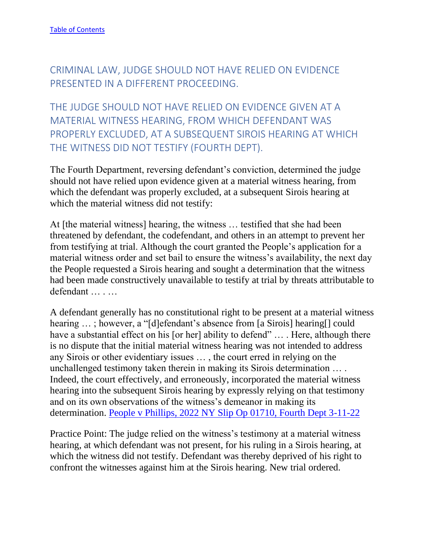<span id="page-26-0"></span>CRIMINAL LAW, JUDGE SHOULD NOT HAVE RELIED ON EVIDENCE PRESENTED IN A DIFFERENT PROCEEDING.

<span id="page-26-1"></span>THE JUDGE SHOULD NOT HAVE RELIED ON EVIDENCE GIVEN AT A MATERIAL WITNESS HEARING, FROM WHICH DEFENDANT WAS PROPERLY EXCLUDED, AT A SUBSEQUENT SIROIS HEARING AT WHICH THE WITNESS DID NOT TESTIFY (FOURTH DEPT).

The Fourth Department, reversing defendant's conviction, determined the judge should not have relied upon evidence given at a material witness hearing, from which the defendant was properly excluded, at a subsequent Sirois hearing at which the material witness did not testify:

At [the material witness] hearing, the witness … testified that she had been threatened by defendant, the codefendant, and others in an attempt to prevent her from testifying at trial. Although the court granted the People's application for a material witness order and set bail to ensure the witness's availability, the next day the People requested a Sirois hearing and sought a determination that the witness had been made constructively unavailable to testify at trial by threats attributable to defendant … . …

A defendant generally has no constitutional right to be present at a material witness hearing ...; however, a "[d]efendant's absence from [a Sirois] hearing[] could have a substantial effect on his [or her] ability to defend" ... . Here, although there is no dispute that the initial material witness hearing was not intended to address any Sirois or other evidentiary issues … , the court erred in relying on the unchallenged testimony taken therein in making its Sirois determination … . Indeed, the court effectively, and erroneously, incorporated the material witness hearing into the subsequent Sirois hearing by expressly relying on that testimony and on its own observations of the witness's demeanor in making its determination. [People v Phillips, 2022 NY Slip Op 01710, Fourth Dept 3-11-22](https://nycourts.gov/reporter/3dseries/2022/2022_01710.htm)

Practice Point: The judge relied on the witness's testimony at a material witness hearing, at which defendant was not present, for his ruling in a Sirois hearing, at which the witness did not testify. Defendant was thereby deprived of his right to confront the witnesses against him at the Sirois hearing. New trial ordered.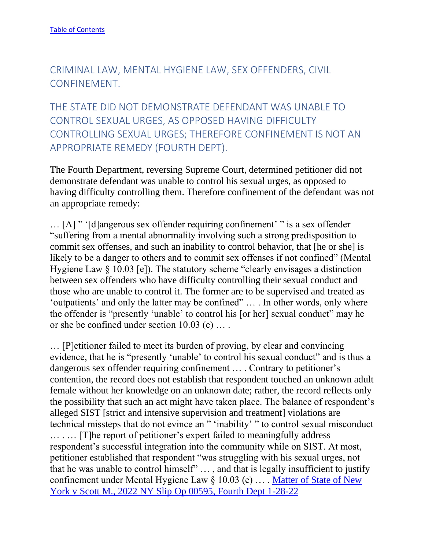<span id="page-27-0"></span>CRIMINAL LAW, MENTAL HYGIENE LAW, SEX OFFENDERS, CIVIL CONFINEMENT.

<span id="page-27-1"></span>THE STATE DID NOT DEMONSTRATE DEFENDANT WAS UNABLE TO CONTROL SEXUAL URGES, AS OPPOSED HAVING DIFFICULTY CONTROLLING SEXUAL URGES; THEREFORE CONFINEMENT IS NOT AN APPROPRIATE REMEDY (FOURTH DEPT).

The Fourth Department, reversing Supreme Court, determined petitioner did not demonstrate defendant was unable to control his sexual urges, as opposed to having difficulty controlling them. Therefore confinement of the defendant was not an appropriate remedy:

… [A] " '[d]angerous sex offender requiring confinement' " is a sex offender "suffering from a mental abnormality involving such a strong predisposition to commit sex offenses, and such an inability to control behavior, that [he or she] is likely to be a danger to others and to commit sex offenses if not confined" (Mental Hygiene Law § 10.03 [e]). The statutory scheme "clearly envisages a distinction between sex offenders who have difficulty controlling their sexual conduct and those who are unable to control it. The former are to be supervised and treated as 'outpatients' and only the latter may be confined" … . In other words, only where the offender is "presently 'unable' to control his [or her] sexual conduct" may he or she be confined under section 10.03 (e) … .

… [P]etitioner failed to meet its burden of proving, by clear and convincing evidence, that he is "presently 'unable' to control his sexual conduct" and is thus a dangerous sex offender requiring confinement … . Contrary to petitioner's contention, the record does not establish that respondent touched an unknown adult female without her knowledge on an unknown date; rather, the record reflects only the possibility that such an act might have taken place. The balance of respondent's alleged SIST [strict and intensive supervision and treatment] violations are technical missteps that do not evince an " 'inability' " to control sexual misconduct … . … [T]he report of petitioner's expert failed to meaningfully address respondent's successful integration into the community while on SIST. At most, petitioner established that respondent "was struggling with his sexual urges, not that he was unable to control himself" … , and that is legally insufficient to justify confinement under Mental Hygiene Law § 10.03 (e) … . [Matter of State of New](https://nycourts.gov/reporter/3dseries/2022/2022_00595.htm)  [York v Scott M., 2022 NY Slip Op 00595, Fourth Dept 1-28-22](https://nycourts.gov/reporter/3dseries/2022/2022_00595.htm)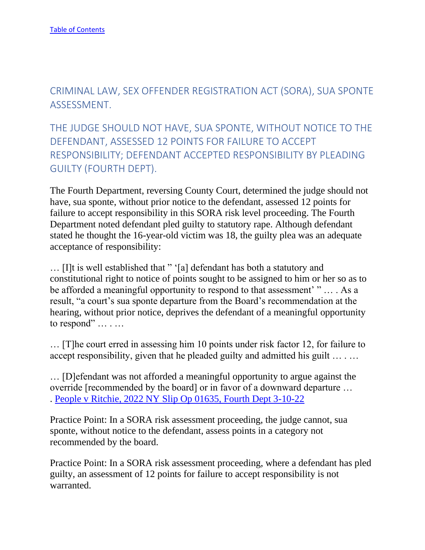<span id="page-28-0"></span>CRIMINAL LAW, SEX OFFENDER REGISTRATION ACT (SORA), SUA SPONTE ASSESSMENT.

<span id="page-28-1"></span>THE JUDGE SHOULD NOT HAVE, SUA SPONTE, WITHOUT NOTICE TO THE DEFENDANT, ASSESSED 12 POINTS FOR FAILURE TO ACCEPT RESPONSIBILITY; DEFENDANT ACCEPTED RESPONSIBILITY BY PLEADING GUILTY (FOURTH DEPT).

The Fourth Department, reversing County Court, determined the judge should not have, sua sponte, without prior notice to the defendant, assessed 12 points for failure to accept responsibility in this SORA risk level proceeding. The Fourth Department noted defendant pled guilty to statutory rape. Although defendant stated he thought the 16-year-old victim was 18, the guilty plea was an adequate acceptance of responsibility:

… [I]t is well established that " '[a] defendant has both a statutory and constitutional right to notice of points sought to be assigned to him or her so as to be afforded a meaningful opportunity to respond to that assessment' " … . As a result, "a court's sua sponte departure from the Board's recommendation at the hearing, without prior notice, deprives the defendant of a meaningful opportunity to respond" ... . . . .

… [T]he court erred in assessing him 10 points under risk factor 12, for failure to accept responsibility, given that he pleaded guilty and admitted his guilt ... . ...

… [D]efendant was not afforded a meaningful opportunity to argue against the override [recommended by the board] or in favor of a downward departure … . [People v Ritchie, 2022 NY Slip Op 01635, Fourth Dept 3-10-22](https://nycourts.gov/reporter/3dseries/2022/2022_01635.htm)

Practice Point: In a SORA risk assessment proceeding, the judge cannot, sua sponte, without notice to the defendant, assess points in a category not recommended by the board.

Practice Point: In a SORA risk assessment proceeding, where a defendant has pled guilty, an assessment of 12 points for failure to accept responsibility is not warranted.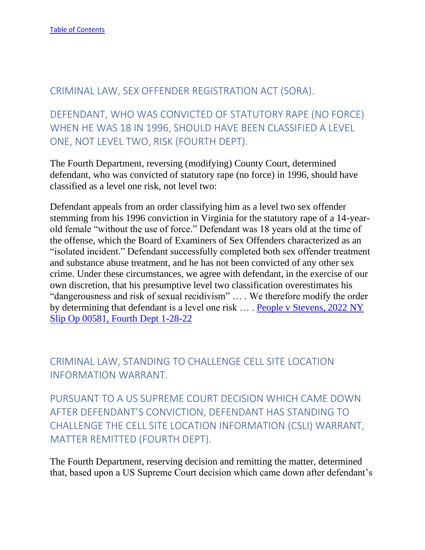#### <span id="page-29-0"></span>CRIMINAL LAW, SEX OFFENDER REGISTRATION ACT (SORA).

<span id="page-29-1"></span>DEFENDANT, WHO WAS CONVICTED OF STATUTORY RAPE (NO FORCE) WHEN HE WAS 18 IN 1996, SHOULD HAVE BEEN CLASSIFIED A LEVEL ONE, NOT LEVEL TWO, RISK (FOURTH DEPT).

The Fourth Department, reversing (modifying) County Court, determined defendant, who was convicted of statutory rape (no force) in 1996, should have classified as a level one risk, not level two:

Defendant appeals from an order classifying him as a level two sex offender stemming from his 1996 conviction in Virginia for the statutory rape of a 14-yearold female "without the use of force." Defendant was 18 years old at the time of the offense, which the Board of Examiners of Sex Offenders characterized as an "isolated incident." Defendant successfully completed both sex offender treatment and substance abuse treatment, and he has not been convicted of any other sex crime. Under these circumstances, we agree with defendant, in the exercise of our own discretion, that his presumptive level two classification overestimates his "dangerousness and risk of sexual recidivism" … . We therefore modify the order by determining that defendant is a level one risk ... . People v Stevens, 2022 NY [Slip Op 00581, Fourth Dept 1-28-22](https://nycourts.gov/reporter/3dseries/2022/2022_00581.htm)

# <span id="page-29-2"></span>CRIMINAL LAW, STANDING TO CHALLENGE CELL SITE LOCATION INFORMATION WARRANT.

<span id="page-29-3"></span>PURSUANT TO A US SUPREME COURT DECISION WHICH CAME DOWN AFTER DEFENDANT'S CONVICTION, DEFENDANT HAS STANDING TO CHALLENGE THE CELL SITE LOCATION INFORMATION (CSLI) WARRANT, MATTER REMITTED (FOURTH DEPT).

The Fourth Department, reserving decision and remitting the matter, determined that, based upon a US Supreme Court decision which came down after defendant's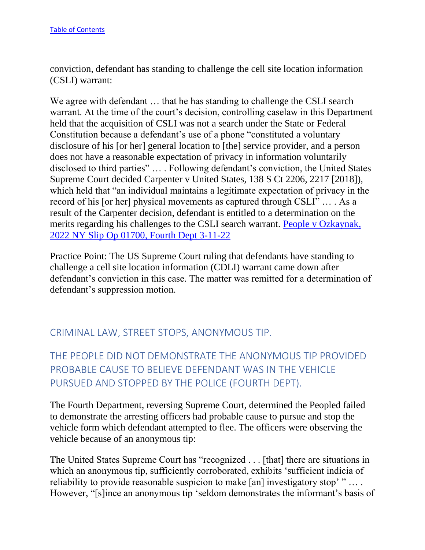conviction, defendant has standing to challenge the cell site location information (CSLI) warrant:

We agree with defendant ... that he has standing to challenge the CSLI search warrant. At the time of the court's decision, controlling caselaw in this Department held that the acquisition of CSLI was not a search under the State or Federal Constitution because a defendant's use of a phone "constituted a voluntary disclosure of his [or her] general location to [the] service provider, and a person does not have a reasonable expectation of privacy in information voluntarily disclosed to third parties" … . Following defendant's conviction, the United States Supreme Court decided Carpenter v United States, 138 S Ct 2206, 2217 [2018]), which held that "an individual maintains a legitimate expectation of privacy in the record of his [or her] physical movements as captured through CSLI" … . As a result of the Carpenter decision, defendant is entitled to a determination on the merits regarding his challenges to the CSLI search warrant. [People v Ozkaynak,](https://nycourts.gov/reporter/3dseries/2022/2022_01700.htm)  [2022 NY Slip Op 01700, Fourth Dept 3-11-22](https://nycourts.gov/reporter/3dseries/2022/2022_01700.htm)

Practice Point: The US Supreme Court ruling that defendants have standing to challenge a cell site location information (CDLI) warrant came down after defendant's conviction in this case. The matter was remitted for a determination of defendant's suppression motion.

#### <span id="page-30-0"></span>CRIMINAL LAW, STREET STOPS, ANONYMOUS TIP.

<span id="page-30-1"></span>THE PEOPLE DID NOT DEMONSTRATE THE ANONYMOUS TIP PROVIDED PROBABLE CAUSE TO BELIEVE DEFENDANT WAS IN THE VEHICLE PURSUED AND STOPPED BY THE POLICE (FOURTH DEPT).

The Fourth Department, reversing Supreme Court, determined the Peopled failed to demonstrate the arresting officers had probable cause to pursue and stop the vehicle form which defendant attempted to flee. The officers were observing the vehicle because of an anonymous tip:

The United States Supreme Court has "recognized . . . [that] there are situations in which an anonymous tip, sufficiently corroborated, exhibits 'sufficient indicia of reliability to provide reasonable suspicion to make [an] investigatory stop' " … . However, "[s]ince an anonymous tip 'seldom demonstrates the informant's basis of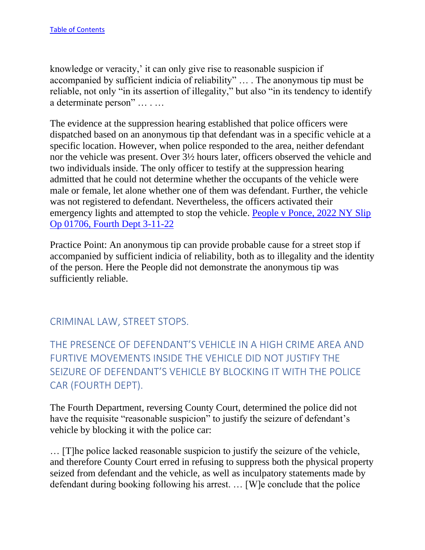knowledge or veracity,' it can only give rise to reasonable suspicion if accompanied by sufficient indicia of reliability" … . The anonymous tip must be reliable, not only "in its assertion of illegality," but also "in its tendency to identify a determinate person" … . …

The evidence at the suppression hearing established that police officers were dispatched based on an anonymous tip that defendant was in a specific vehicle at a specific location. However, when police responded to the area, neither defendant nor the vehicle was present. Over 3½ hours later, officers observed the vehicle and two individuals inside. The only officer to testify at the suppression hearing admitted that he could not determine whether the occupants of the vehicle were male or female, let alone whether one of them was defendant. Further, the vehicle was not registered to defendant. Nevertheless, the officers activated their emergency lights and attempted to stop the vehicle. [People v Ponce, 2022 NY Slip](https://nycourts.gov/reporter/3dseries/2022/2022_01706.htm)  [Op 01706, Fourth Dept 3-11-22](https://nycourts.gov/reporter/3dseries/2022/2022_01706.htm)

Practice Point: An anonymous tip can provide probable cause for a street stop if accompanied by sufficient indicia of reliability, both as to illegality and the identity of the person. Here the People did not demonstrate the anonymous tip was sufficiently reliable.

<span id="page-31-0"></span>CRIMINAL LAW, STREET STOPS.

<span id="page-31-1"></span>THE PRESENCE OF DEFENDANT'S VEHICLE IN A HIGH CRIME AREA AND FURTIVE MOVEMENTS INSIDE THE VEHICLE DID NOT JUSTIFY THE SEIZURE OF DEFENDANT'S VEHICLE BY BLOCKING IT WITH THE POLICE CAR (FOURTH DEPT).

The Fourth Department, reversing County Court, determined the police did not have the requisite "reasonable suspicion" to justify the seizure of defendant's vehicle by blocking it with the police car:

… [T]he police lacked reasonable suspicion to justify the seizure of the vehicle, and therefore County Court erred in refusing to suppress both the physical property seized from defendant and the vehicle, as well as inculpatory statements made by defendant during booking following his arrest. … [W]e conclude that the police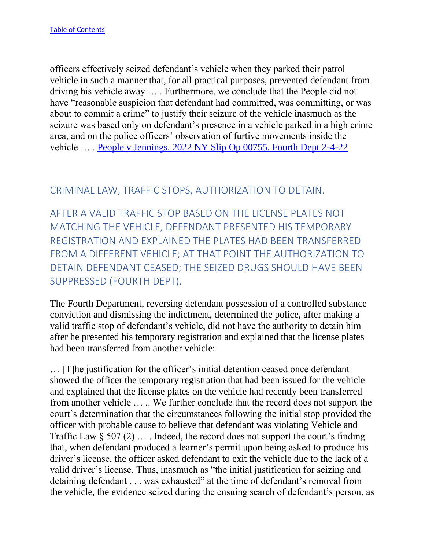officers effectively seized defendant's vehicle when they parked their patrol vehicle in such a manner that, for all practical purposes, prevented defendant from driving his vehicle away … . Furthermore, we conclude that the People did not have "reasonable suspicion that defendant had committed, was committing, or was about to commit a crime" to justify their seizure of the vehicle inasmuch as the seizure was based only on defendant's presence in a vehicle parked in a high crime area, and on the police officers' observation of furtive movements inside the vehicle … . [People v Jennings, 2022 NY Slip Op 00755, Fourth Dept 2-4-22](https://nycourts.gov/reporter/3dseries/2022/2022_00755.htm)

## <span id="page-32-0"></span>CRIMINAL LAW, TRAFFIC STOPS, AUTHORIZATION TO DETAIN.

<span id="page-32-1"></span>AFTER A VALID TRAFFIC STOP BASED ON THE LICENSE PLATES NOT MATCHING THE VEHICLE, DEFENDANT PRESENTED HIS TEMPORARY REGISTRATION AND EXPLAINED THE PLATES HAD BEEN TRANSFERRED FROM A DIFFERENT VEHICLE; AT THAT POINT THE AUTHORIZATION TO DETAIN DEFENDANT CEASED; THE SEIZED DRUGS SHOULD HAVE BEEN SUPPRESSED (FOURTH DEPT).

The Fourth Department, reversing defendant possession of a controlled substance conviction and dismissing the indictment, determined the police, after making a valid traffic stop of defendant's vehicle, did not have the authority to detain him after he presented his temporary registration and explained that the license plates had been transferred from another vehicle:

… [T]he justification for the officer's initial detention ceased once defendant showed the officer the temporary registration that had been issued for the vehicle and explained that the license plates on the vehicle had recently been transferred from another vehicle … .. We further conclude that the record does not support the court's determination that the circumstances following the initial stop provided the officer with probable cause to believe that defendant was violating Vehicle and Traffic Law  $\S 507 (2) \ldots$ . Indeed, the record does not support the court's finding that, when defendant produced a learner's permit upon being asked to produce his driver's license, the officer asked defendant to exit the vehicle due to the lack of a valid driver's license. Thus, inasmuch as "the initial justification for seizing and detaining defendant . . . was exhausted" at the time of defendant's removal from the vehicle, the evidence seized during the ensuing search of defendant's person, as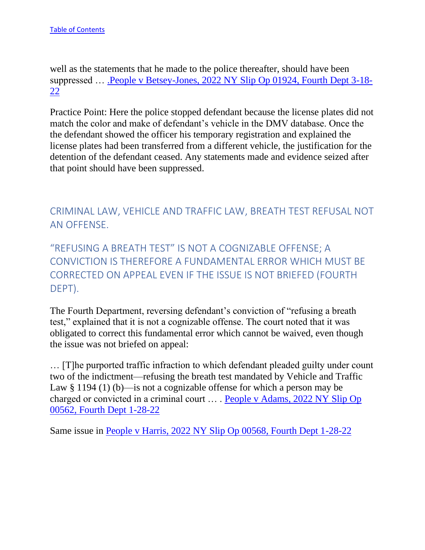well as the statements that he made to the police thereafter, should have been suppressed … [.People v Betsey-Jones, 2022 NY Slip Op 01924, Fourth Dept 3-18-](https://nycourts.gov/reporter/3dseries/2022/2022_01924.htm) [22](https://nycourts.gov/reporter/3dseries/2022/2022_01924.htm)

Practice Point: Here the police stopped defendant because the license plates did not match the color and make of defendant's vehicle in the DMV database. Once the the defendant showed the officer his temporary registration and explained the license plates had been transferred from a different vehicle, the justification for the detention of the defendant ceased. Any statements made and evidence seized after that point should have been suppressed.

<span id="page-33-0"></span>CRIMINAL LAW, VEHICLE AND TRAFFIC LAW, BREATH TEST REFUSAL NOT AN OFFENSE.

# <span id="page-33-1"></span>"REFUSING A BREATH TEST" IS NOT A COGNIZABLE OFFENSE; A CONVICTION IS THEREFORE A FUNDAMENTAL ERROR WHICH MUST BE CORRECTED ON APPEAL EVEN IF THE ISSUE IS NOT BRIEFED (FOURTH DEPT).

The Fourth Department, reversing defendant's conviction of "refusing a breath test," explained that it is not a cognizable offense. The court noted that it was obligated to correct this fundamental error which cannot be waived, even though the issue was not briefed on appeal:

… [T]he purported traffic infraction to which defendant pleaded guilty under count two of the indictment—refusing the breath test mandated by Vehicle and Traffic Law § 1194 (1) (b)—is not a cognizable offense for which a person may be charged or convicted in a criminal court … . [People v Adams, 2022 NY Slip Op](https://nycourts.gov/reporter/3dseries/2022/2022_00562.htm)  [00562, Fourth Dept 1-28-22](https://nycourts.gov/reporter/3dseries/2022/2022_00562.htm)

Same issue in [People v Harris, 2022 NY Slip Op 00568, Fourth Dept 1-28-22](https://nycourts.gov/reporter/3dseries/2022/2022_00568.htm)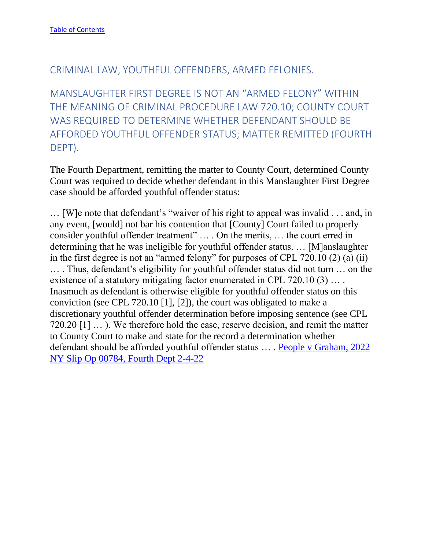#### <span id="page-34-0"></span>CRIMINAL LAW, YOUTHFUL OFFENDERS, ARMED FELONIES.

<span id="page-34-1"></span>MANSLAUGHTER FIRST DEGREE IS NOT AN "ARMED FELONY" WITHIN THE MEANING OF CRIMINAL PROCEDURE LAW 720.10; COUNTY COURT WAS REQUIRED TO DETERMINE WHETHER DEFENDANT SHOULD BE AFFORDED YOUTHFUL OFFENDER STATUS; MATTER REMITTED (FOURTH DEPT).

The Fourth Department, remitting the matter to County Court, determined County Court was required to decide whether defendant in this Manslaughter First Degree case should be afforded youthful offender status:

… [W]e note that defendant's "waiver of his right to appeal was invalid . . . and, in any event, [would] not bar his contention that [County] Court failed to properly consider youthful offender treatment" … . On the merits, … the court erred in determining that he was ineligible for youthful offender status. … [M]anslaughter in the first degree is not an "armed felony" for purposes of CPL 720.10 (2) (a) (ii) … . Thus, defendant's eligibility for youthful offender status did not turn … on the existence of a statutory mitigating factor enumerated in CPL 720.10 (3) .... Inasmuch as defendant is otherwise eligible for youthful offender status on this conviction (see CPL 720.10 [1], [2]), the court was obligated to make a discretionary youthful offender determination before imposing sentence (see CPL 720.20 [1] … ). We therefore hold the case, reserve decision, and remit the matter to County Court to make and state for the record a determination whether defendant should be afforded youthful offender status … . [People v Graham, 2022](https://nycourts.gov/reporter/3dseries/2022/2022_00784.htm)  [NY Slip Op 00784, Fourth Dept 2-4-22](https://nycourts.gov/reporter/3dseries/2022/2022_00784.htm)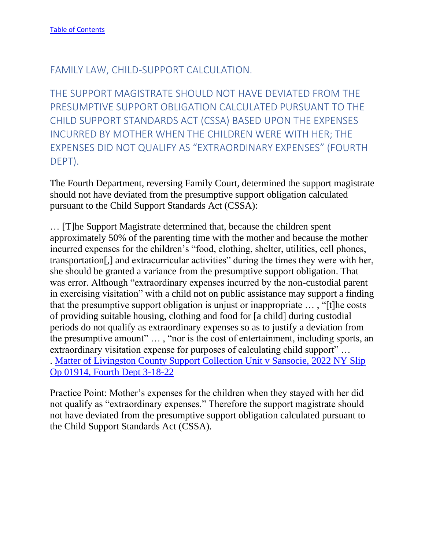## <span id="page-35-0"></span>FAMILY LAW, CHILD-SUPPORT CALCULATION.

<span id="page-35-1"></span>THE SUPPORT MAGISTRATE SHOULD NOT HAVE DEVIATED FROM THE PRESUMPTIVE SUPPORT OBLIGATION CALCULATED PURSUANT TO THE CHILD SUPPORT STANDARDS ACT (CSSA) BASED UPON THE EXPENSES INCURRED BY MOTHER WHEN THE CHILDREN WERE WITH HER; THE EXPENSES DID NOT QUALIFY AS "EXTRAORDINARY EXPENSES" (FOURTH DEPT).

The Fourth Department, reversing Family Court, determined the support magistrate should not have deviated from the presumptive support obligation calculated pursuant to the Child Support Standards Act (CSSA):

… [T]he Support Magistrate determined that, because the children spent approximately 50% of the parenting time with the mother and because the mother incurred expenses for the children's "food, clothing, shelter, utilities, cell phones, transportation[,] and extracurricular activities" during the times they were with her, she should be granted a variance from the presumptive support obligation. That was error. Although "extraordinary expenses incurred by the non-custodial parent in exercising visitation" with a child not on public assistance may support a finding that the presumptive support obligation is unjust or inappropriate … , "[t]he costs of providing suitable housing, clothing and food for [a child] during custodial periods do not qualify as extraordinary expenses so as to justify a deviation from the presumptive amount" … , "nor is the cost of entertainment, including sports, an extraordinary visitation expense for purposes of calculating child support" … . [Matter of Livingston County Support Collection Unit v Sansocie, 2022 NY Slip](https://nycourts.gov/reporter/3dseries/2022/2022_01914.htm)  [Op 01914, Fourth Dept 3-18-22](https://nycourts.gov/reporter/3dseries/2022/2022_01914.htm)

Practice Point: Mother's expenses for the children when they stayed with her did not qualify as "extraordinary expenses." Therefore the support magistrate should not have deviated from the presumptive support obligation calculated pursuant to the Child Support Standards Act (CSSA).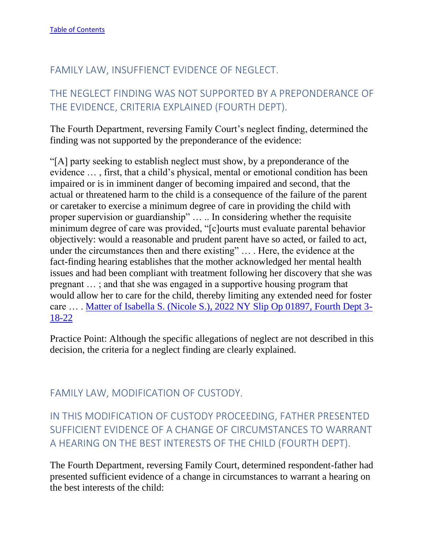# <span id="page-36-0"></span>FAMILY LAW, INSUFFIENCT EVIDENCE OF NEGLECT.

# <span id="page-36-1"></span>THE NEGLECT FINDING WAS NOT SUPPORTED BY A PREPONDERANCE OF THE EVIDENCE, CRITERIA EXPLAINED (FOURTH DEPT).

The Fourth Department, reversing Family Court's neglect finding, determined the finding was not supported by the preponderance of the evidence:

"[A] party seeking to establish neglect must show, by a preponderance of the evidence … , first, that a child's physical, mental or emotional condition has been impaired or is in imminent danger of becoming impaired and second, that the actual or threatened harm to the child is a consequence of the failure of the parent or caretaker to exercise a minimum degree of care in providing the child with proper supervision or guardianship" … .. In considering whether the requisite minimum degree of care was provided, "[c]ourts must evaluate parental behavior objectively: would a reasonable and prudent parent have so acted, or failed to act, under the circumstances then and there existing" … . Here, the evidence at the fact-finding hearing establishes that the mother acknowledged her mental health issues and had been compliant with treatment following her discovery that she was pregnant … ; and that she was engaged in a supportive housing program that would allow her to care for the child, thereby limiting any extended need for foster care … . [Matter of Isabella S. \(Nicole S.\), 2022 NY Slip Op 01897, Fourth Dept 3-](https://nycourts.gov/reporter/3dseries/2022/2022_01897.htm) [18-22](https://nycourts.gov/reporter/3dseries/2022/2022_01897.htm)

Practice Point: Although the specific allegations of neglect are not described in this decision, the criteria for a neglect finding are clearly explained.

# <span id="page-36-2"></span>FAMILY LAW, MODIFICATION OF CUSTODY.

# <span id="page-36-3"></span>IN THIS MODIFICATION OF CUSTODY PROCEEDING, FATHER PRESENTED SUFFICIENT EVIDENCE OF A CHANGE OF CIRCUMSTANCES TO WARRANT A HEARING ON THE BEST INTERESTS OF THE CHILD (FOURTH DEPT).

The Fourth Department, reversing Family Court, determined respondent-father had presented sufficient evidence of a change in circumstances to warrant a hearing on the best interests of the child: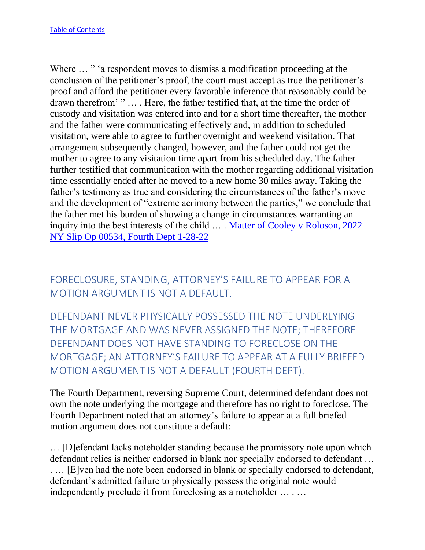Where  $\ldots$  " a respondent moves to dismiss a modification proceeding at the conclusion of the petitioner's proof, the court must accept as true the petitioner's proof and afford the petitioner every favorable inference that reasonably could be drawn therefrom' " … . Here, the father testified that, at the time the order of custody and visitation was entered into and for a short time thereafter, the mother and the father were communicating effectively and, in addition to scheduled visitation, were able to agree to further overnight and weekend visitation. That arrangement subsequently changed, however, and the father could not get the mother to agree to any visitation time apart from his scheduled day. The father further testified that communication with the mother regarding additional visitation time essentially ended after he moved to a new home 30 miles away. Taking the father's testimony as true and considering the circumstances of the father's move and the development of "extreme acrimony between the parties," we conclude that the father met his burden of showing a change in circumstances warranting an inquiry into the best interests of the child … . [Matter of Cooley v Roloson, 2022](https://nycourts.gov/reporter/3dseries/2022/2022_00534.htm)  [NY Slip Op 00534, Fourth Dept 1-28-22](https://nycourts.gov/reporter/3dseries/2022/2022_00534.htm)

<span id="page-37-0"></span>FORECLOSURE, STANDING, ATTORNEY'S FAILURE TO APPEAR FOR A MOTION ARGUMENT IS NOT A DEFAULT.

<span id="page-37-1"></span>DEFENDANT NEVER PHYSICALLY POSSESSED THE NOTE UNDERLYING THE MORTGAGE AND WAS NEVER ASSIGNED THE NOTE; THEREFORE DEFENDANT DOES NOT HAVE STANDING TO FORECLOSE ON THE MORTGAGE; AN ATTORNEY'S FAILURE TO APPEAR AT A FULLY BRIEFED MOTION ARGUMENT IS NOT A DEFAULT (FOURTH DEPT).

The Fourth Department, reversing Supreme Court, determined defendant does not own the note underlying the mortgage and therefore has no right to foreclose. The Fourth Department noted that an attorney's failure to appear at a full briefed motion argument does not constitute a default:

… [D]efendant lacks noteholder standing because the promissory note upon which defendant relies is neither endorsed in blank nor specially endorsed to defendant … . … [E]ven had the note been endorsed in blank or specially endorsed to defendant, defendant's admitted failure to physically possess the original note would independently preclude it from foreclosing as a noteholder … . …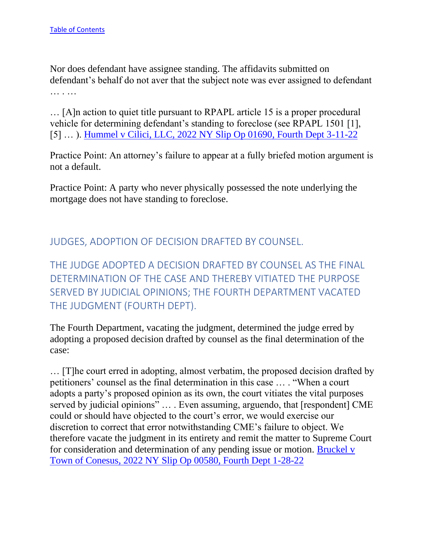Nor does defendant have assignee standing. The affidavits submitted on defendant's behalf do not aver that the subject note was ever assigned to defendant … …

… [A]n action to quiet title pursuant to RPAPL article 15 is a proper procedural vehicle for determining defendant's standing to foreclose (see RPAPL 1501 [1], [5] … ). [Hummel v Cilici, LLC, 2022 NY Slip Op 01690, Fourth Dept 3-11-22](https://nycourts.gov/reporter/3dseries/2022/2022_01690.htm)

Practice Point: An attorney's failure to appear at a fully briefed motion argument is not a default.

Practice Point: A party who never physically possessed the note underlying the mortgage does not have standing to foreclose.

<span id="page-38-0"></span>JUDGES, ADOPTION OF DECISION DRAFTED BY COUNSEL.

<span id="page-38-1"></span>THE JUDGE ADOPTED A DECISION DRAFTED BY COUNSEL AS THE FINAL DETERMINATION OF THE CASE AND THEREBY VITIATED THE PURPOSE SERVED BY JUDICIAL OPINIONS; THE FOURTH DEPARTMENT VACATED THE JUDGMENT (FOURTH DEPT).

The Fourth Department, vacating the judgment, determined the judge erred by adopting a proposed decision drafted by counsel as the final determination of the case:

… [T]he court erred in adopting, almost verbatim, the proposed decision drafted by petitioners' counsel as the final determination in this case … . "When a court adopts a party's proposed opinion as its own, the court vitiates the vital purposes served by judicial opinions" ... . Even assuming, arguendo, that [respondent] CME could or should have objected to the court's error, we would exercise our discretion to correct that error notwithstanding CME's failure to object. We therefore vacate the judgment in its entirety and remit the matter to Supreme Court for consideration and determination of any pending issue or motion. [Bruckel v](https://nycourts.gov/reporter/3dseries/2022/2022_00580.htm)  Town of Conesus, [2022 NY Slip Op 00580, Fourth Dept 1-28-22](https://nycourts.gov/reporter/3dseries/2022/2022_00580.htm)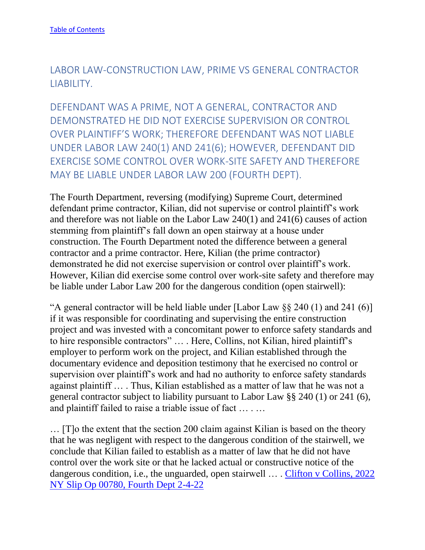<span id="page-39-0"></span>LABOR LAW-CONSTRUCTION LAW, PRIME VS GENERAL CONTRACTOR LIABILITY.

<span id="page-39-1"></span>DEFENDANT WAS A PRIME, NOT A GENERAL, CONTRACTOR AND DEMONSTRATED HE DID NOT EXERCISE SUPERVISION OR CONTROL OVER PLAINTIFF'S WORK; THEREFORE DEFENDANT WAS NOT LIABLE UNDER LABOR LAW 240(1) AND 241(6); HOWEVER, DEFENDANT DID EXERCISE SOME CONTROL OVER WORK-SITE SAFETY AND THEREFORE MAY BE LIABLE UNDER LABOR LAW 200 (FOURTH DEPT).

The Fourth Department, reversing (modifying) Supreme Court, determined defendant prime contractor, Kilian, did not supervise or control plaintiff's work and therefore was not liable on the Labor Law 240(1) and 241(6) causes of action stemming from plaintiff's fall down an open stairway at a house under construction. The Fourth Department noted the difference between a general contractor and a prime contractor. Here, Kilian (the prime contractor) demonstrated he did not exercise supervision or control over plaintiff's work. However, Kilian did exercise some control over work-site safety and therefore may be liable under Labor Law 200 for the dangerous condition (open stairwell):

"A general contractor will be held liable under [Labor Law  $\S$ § 240 (1) and 241 (6)] if it was responsible for coordinating and supervising the entire construction project and was invested with a concomitant power to enforce safety standards and to hire responsible contractors" … . Here, Collins, not Kilian, hired plaintiff's employer to perform work on the project, and Kilian established through the documentary evidence and deposition testimony that he exercised no control or supervision over plaintiff's work and had no authority to enforce safety standards against plaintiff … . Thus, Kilian established as a matter of law that he was not a general contractor subject to liability pursuant to Labor Law §§ 240 (1) or 241 (6), and plaintiff failed to raise a triable issue of fact … . …

… [T]o the extent that the section 200 claim against Kilian is based on the theory that he was negligent with respect to the dangerous condition of the stairwell, we conclude that Kilian failed to establish as a matter of law that he did not have control over the work site or that he lacked actual or constructive notice of the dangerous condition, i.e., the unguarded, open stairwell … . [Clifton v Collins, 2022](https://nycourts.gov/reporter/3dseries/2022/2022_00780.htm)  [NY Slip Op 00780, Fourth Dept 2-4-22](https://nycourts.gov/reporter/3dseries/2022/2022_00780.htm)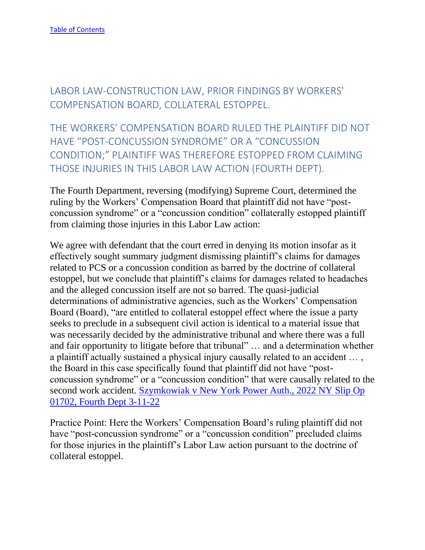<span id="page-40-0"></span>LABOR LAW-CONSTRUCTION LAW, PRIOR FINDINGS BY WORKERS' COMPENSATION BOARD, COLLATERAL ESTOPPEL.

<span id="page-40-1"></span>THE WORKERS' COMPENSATION BOARD RULED THE PLAINTIFF DID NOT HAVE "POST-CONCUSSION SYNDROME" OR A "CONCUSSION CONDITION;" PLAINTIFF WAS THEREFORE ESTOPPED FROM CLAIMING THOSE INJURIES IN THIS LABOR LAW ACTION (FOURTH DEPT).

The Fourth Department, reversing (modifying) Supreme Court, determined the ruling by the Workers' Compensation Board that plaintiff did not have "postconcussion syndrome" or a "concussion condition" collaterally estopped plaintiff from claiming those injuries in this Labor Law action:

We agree with defendant that the court erred in denying its motion insofar as it effectively sought summary judgment dismissing plaintiff's claims for damages related to PCS or a concussion condition as barred by the doctrine of collateral estoppel, but we conclude that plaintiff's claims for damages related to headaches and the alleged concussion itself are not so barred. The quasi-judicial determinations of administrative agencies, such as the Workers' Compensation Board (Board), "are entitled to collateral estoppel effect where the issue a party seeks to preclude in a subsequent civil action is identical to a material issue that was necessarily decided by the administrative tribunal and where there was a full and fair opportunity to litigate before that tribunal" … and a determination whether a plaintiff actually sustained a physical injury causally related to an accident … , the Board in this case specifically found that plaintiff did not have "postconcussion syndrome" or a "concussion condition" that were causally related to the second work accident. [Szymkowiak v New York Power Auth., 2022 NY Slip Op](https://nycourts.gov/reporter/3dseries/2022/2022_01702.htm)  [01702, Fourth Dept 3-11-22](https://nycourts.gov/reporter/3dseries/2022/2022_01702.htm)

Practice Point: Here the Workers' Compensation Board's ruling plaintiff did not have "post-concussion syndrome" or a "concussion condition" precluded claims for those injuries in the plaintiff's Labor Law action pursuant to the doctrine of collateral estoppel.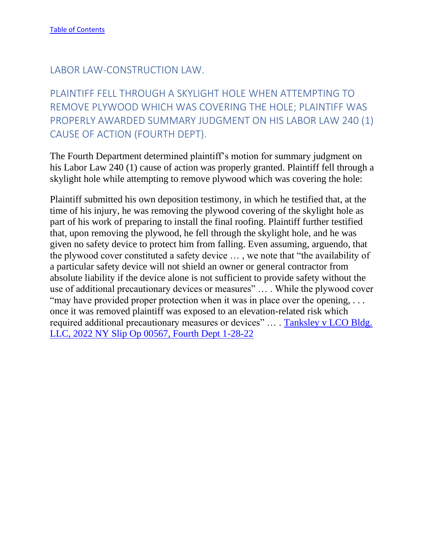<span id="page-41-0"></span>LABOR LAW-CONSTRUCTION LAW.

<span id="page-41-1"></span>PLAINTIFF FELL THROUGH A SKYLIGHT HOLE WHEN ATTEMPTING TO REMOVE PLYWOOD WHICH WAS COVERING THE HOLE; PLAINTIFF WAS PROPERLY AWARDED SUMMARY JUDGMENT ON HIS LABOR LAW 240 (1) CAUSE OF ACTION (FOURTH DEPT).

The Fourth Department determined plaintiff's motion for summary judgment on his Labor Law 240 (1) cause of action was properly granted. Plaintiff fell through a skylight hole while attempting to remove plywood which was covering the hole:

Plaintiff submitted his own deposition testimony, in which he testified that, at the time of his injury, he was removing the plywood covering of the skylight hole as part of his work of preparing to install the final roofing. Plaintiff further testified that, upon removing the plywood, he fell through the skylight hole, and he was given no safety device to protect him from falling. Even assuming, arguendo, that the plywood cover constituted a safety device … , we note that "the availability of a particular safety device will not shield an owner or general contractor from absolute liability if the device alone is not sufficient to provide safety without the use of additional precautionary devices or measures" … . While the plywood cover "may have provided proper protection when it was in place over the opening, ... once it was removed plaintiff was exposed to an elevation-related risk which required additional precautionary measures or devices" … . [Tanksley v LCO Bldg.](https://nycourts.gov/reporter/3dseries/2022/2022_00567.htm)  [LLC, 2022 NY Slip Op 00567, Fourth Dept 1-28-22](https://nycourts.gov/reporter/3dseries/2022/2022_00567.htm)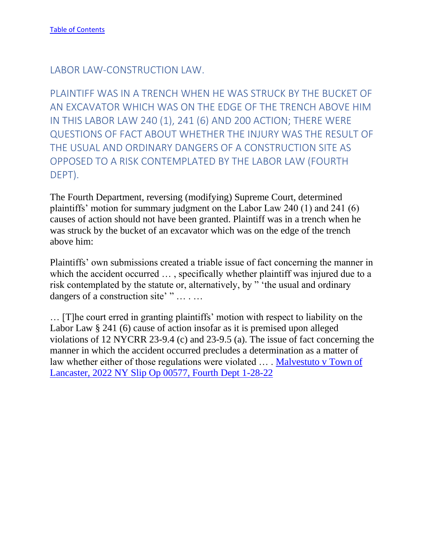<span id="page-42-0"></span>LABOR LAW-CONSTRUCTION LAW.

<span id="page-42-1"></span>PLAINTIFF WAS IN A TRENCH WHEN HE WAS STRUCK BY THE BUCKET OF AN EXCAVATOR WHICH WAS ON THE EDGE OF THE TRENCH ABOVE HIM IN THIS LABOR LAW 240 (1), 241 (6) AND 200 ACTION; THERE WERE QUESTIONS OF FACT ABOUT WHETHER THE INJURY WAS THE RESULT OF THE USUAL AND ORDINARY DANGERS OF A CONSTRUCTION SITE AS OPPOSED TO A RISK CONTEMPLATED BY THE LABOR LAW (FOURTH DEPT).

The Fourth Department, reversing (modifying) Supreme Court, determined plaintiffs' motion for summary judgment on the Labor Law 240 (1) and 241 (6) causes of action should not have been granted. Plaintiff was in a trench when he was struck by the bucket of an excavator which was on the edge of the trench above him:

Plaintiffs' own submissions created a triable issue of fact concerning the manner in which the accident occurred ..., specifically whether plaintiff was injured due to a risk contemplated by the statute or, alternatively, by " 'the usual and ordinary dangers of a construction site' " ... ...

… [T]he court erred in granting plaintiffs' motion with respect to liability on the Labor Law § 241 (6) cause of action insofar as it is premised upon alleged violations of 12 NYCRR 23-9.4 (c) and 23-9.5 (a). The issue of fact concerning the manner in which the accident occurred precludes a determination as a matter of law whether either of those regulations were violated … . [Malvestuto v Town of](https://nycourts.gov/reporter/3dseries/2022/2022_00577.htm)  [Lancaster, 2022 NY Slip Op 00577, Fourth Dept 1-28-22](https://nycourts.gov/reporter/3dseries/2022/2022_00577.htm)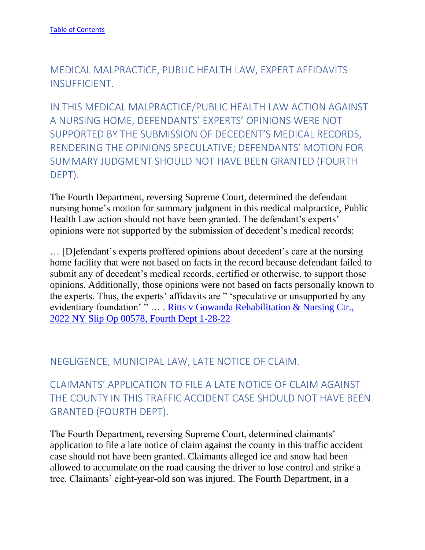<span id="page-43-0"></span>MEDICAL MALPRACTICE, PUBLIC HEALTH LAW, EXPERT AFFIDAVITS INSUFFICIENT.

<span id="page-43-1"></span>IN THIS MEDICAL MALPRACTICE/PUBLIC HEALTH LAW ACTION AGAINST A NURSING HOME, DEFENDANTS' EXPERTS' OPINIONS WERE NOT SUPPORTED BY THE SUBMISSION OF DECEDENT'S MEDICAL RECORDS, RENDERING THE OPINIONS SPECULATIVE; DEFENDANTS' MOTION FOR SUMMARY JUDGMENT SHOULD NOT HAVE BEEN GRANTED (FOURTH DEPT).

The Fourth Department, reversing Supreme Court, determined the defendant nursing home's motion for summary judgment in this medical malpractice, Public Health Law action should not have been granted. The defendant's experts' opinions were not supported by the submission of decedent's medical records:

… [D]efendant's experts proffered opinions about decedent's care at the nursing home facility that were not based on facts in the record because defendant failed to submit any of decedent's medical records, certified or otherwise, to support those opinions. Additionally, those opinions were not based on facts personally known to the experts. Thus, the experts' affidavits are " 'speculative or unsupported by any evidentiary foundation' " ... . Ritts v Gowanda Rehabilitation & Nursing Ctr., [2022 NY Slip Op 00578, Fourth Dept 1-28-22](https://nycourts.gov/reporter/3dseries/2022/2022_00578.htm)

# <span id="page-43-2"></span>NEGLIGENCE, MUNICIPAL LAW, LATE NOTICE OF CLAIM.

<span id="page-43-3"></span>CLAIMANTS' APPLICATION TO FILE A LATE NOTICE OF CLAIM AGAINST THE COUNTY IN THIS TRAFFIC ACCIDENT CASE SHOULD NOT HAVE BEEN GRANTED (FOURTH DEPT).

The Fourth Department, reversing Supreme Court, determined claimants' application to file a late notice of claim against the county in this traffic accident case should not have been granted. Claimants alleged ice and snow had been allowed to accumulate on the road causing the driver to lose control and strike a tree. Claimants' eight-year-old son was injured. The Fourth Department, in a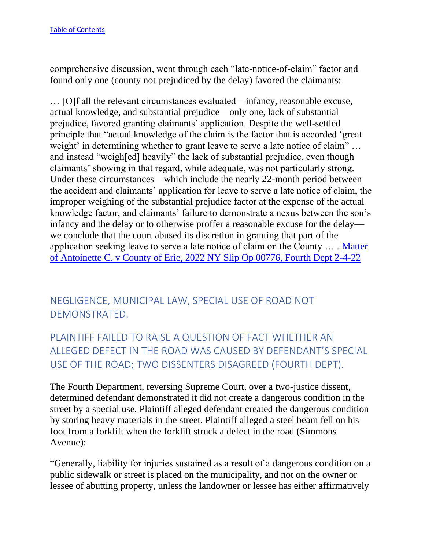comprehensive discussion, went through each "late-notice-of-claim" factor and found only one (county not prejudiced by the delay) favored the claimants:

… [O]f all the relevant circumstances evaluated—infancy, reasonable excuse, actual knowledge, and substantial prejudice—only one, lack of substantial prejudice, favored granting claimants' application. Despite the well-settled principle that "actual knowledge of the claim is the factor that is accorded 'great weight' in determining whether to grant leave to serve a late notice of claim" ... and instead "weigh[ed] heavily" the lack of substantial prejudice, even though claimants' showing in that regard, while adequate, was not particularly strong. Under these circumstances—which include the nearly 22-month period between the accident and claimants' application for leave to serve a late notice of claim, the improper weighing of the substantial prejudice factor at the expense of the actual knowledge factor, and claimants' failure to demonstrate a nexus between the son's infancy and the delay or to otherwise proffer a reasonable excuse for the delay we conclude that the court abused its discretion in granting that part of the application seeking leave to serve a late notice of claim on the County … . [Matter](https://nycourts.gov/reporter/3dseries/2022/2022_00776.htm)  [of Antoinette C. v County of Erie, 2022 NY Slip Op 00776, Fourth Dept 2-4-22](https://nycourts.gov/reporter/3dseries/2022/2022_00776.htm)

<span id="page-44-0"></span>NEGLIGENCE, MUNICIPAL LAW, SPECIAL USE OF ROAD NOT DEMONSTRATED.

<span id="page-44-1"></span>PLAINTIFF FAILED TO RAISE A QUESTION OF FACT WHETHER AN ALLEGED DEFECT IN THE ROAD WAS CAUSED BY DEFENDANT'S SPECIAL USE OF THE ROAD; TWO DISSENTERS DISAGREED (FOURTH DEPT).

The Fourth Department, reversing Supreme Court, over a two-justice dissent, determined defendant demonstrated it did not create a dangerous condition in the street by a special use. Plaintiff alleged defendant created the dangerous condition by storing heavy materials in the street. Plaintiff alleged a steel beam fell on his foot from a forklift when the forklift struck a defect in the road (Simmons Avenue):

"Generally, liability for injuries sustained as a result of a dangerous condition on a public sidewalk or street is placed on the municipality, and not on the owner or lessee of abutting property, unless the landowner or lessee has either affirmatively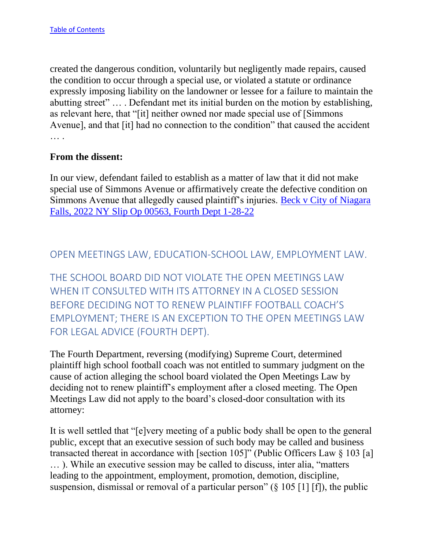created the dangerous condition, voluntarily but negligently made repairs, caused the condition to occur through a special use, or violated a statute or ordinance expressly imposing liability on the landowner or lessee for a failure to maintain the abutting street" … . Defendant met its initial burden on the motion by establishing, as relevant here, that "[it] neither owned nor made special use of [Simmons Avenue], and that [it] had no connection to the condition" that caused the accident

#### **From the dissent:**

In our view, defendant failed to establish as a matter of law that it did not make special use of Simmons Avenue or affirmatively create the defective condition on Simmons Avenue that allegedly caused plaintiff's injuries. Beck v City of Niagara Falls, 2022 NY Slip Op 00563, Fourth Dept 1-28-22

#### <span id="page-45-0"></span>OPEN MEETINGS LAW, EDUCATION-SCHOOL LAW, EMPLOYMENT LAW.

<span id="page-45-1"></span>THE SCHOOL BOARD DID NOT VIOLATE THE OPEN MEETINGS LAW WHEN IT CONSULTED WITH ITS ATTORNEY IN A CLOSED SESSION BEFORE DECIDING NOT TO RENEW PLAINTIFF FOOTBALL COACH'S EMPLOYMENT; THERE IS AN EXCEPTION TO THE OPEN MEETINGS LAW FOR LEGAL ADVICE (FOURTH DEPT).

The Fourth Department, reversing (modifying) Supreme Court, determined plaintiff high school football coach was not entitled to summary judgment on the cause of action alleging the school board violated the Open Meetings Law by deciding not to renew plaintiff's employment after a closed meeting. The Open Meetings Law did not apply to the board's closed-door consultation with its attorney:

It is well settled that "[e]very meeting of a public body shall be open to the general public, except that an executive session of such body may be called and business transacted thereat in accordance with [section 105]" (Public Officers Law § 103 [a] … ). While an executive session may be called to discuss, inter alia, "matters leading to the appointment, employment, promotion, demotion, discipline, suspension, dismissal or removal of a particular person" ( $\S$  105 [1] [f]), the public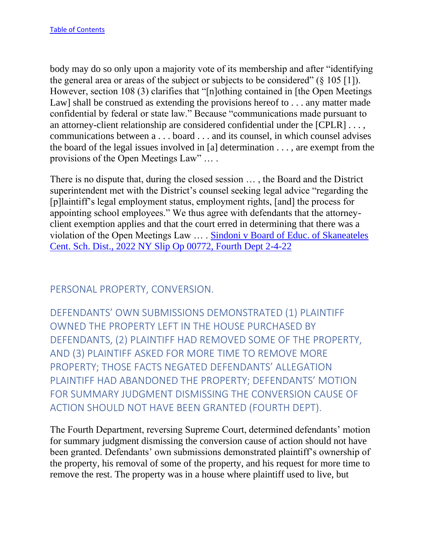body may do so only upon a majority vote of its membership and after "identifying the general area or areas of the subject or subjects to be considered"  $(8\ 105\ 11)$ . However, section 108 (3) clarifies that "[n]othing contained in [the Open Meetings Law] shall be construed as extending the provisions hereof to . . . any matter made confidential by federal or state law." Because "communications made pursuant to an attorney-client relationship are considered confidential under the [CPLR] . . . , communications between a . . . board . . . and its counsel, in which counsel advises the board of the legal issues involved in [a] determination . . . , are exempt from the provisions of the Open Meetings Law" … .

There is no dispute that, during the closed session … , the Board and the District superintendent met with the District's counsel seeking legal advice "regarding the [p]laintiff's legal employment status, employment rights, [and] the process for appointing school employees." We thus agree with defendants that the attorneyclient exemption applies and that the court erred in determining that there was a violation of the Open Meetings Law … . Sindoni v Board of Educ. of Skaneateles Cent. Sch. Dist., 2022 NY Slip Op 00772, Fourth Dept 2-4-22

#### <span id="page-46-0"></span>PERSONAL PROPERTY, CONVERSION.

<span id="page-46-1"></span>DEFENDANTS' OWN SUBMISSIONS DEMONSTRATED (1) PLAINTIFF OWNED THE PROPERTY LEFT IN THE HOUSE PURCHASED BY DEFENDANTS, (2) PLAINTIFF HAD REMOVED SOME OF THE PROPERTY, AND (3) PLAINTIFF ASKED FOR MORE TIME TO REMOVE MORE PROPERTY; THOSE FACTS NEGATED DEFENDANTS' ALLEGATION PLAINTIFF HAD ABANDONED THE PROPERTY; DEFENDANTS' MOTION FOR SUMMARY JUDGMENT DISMISSING THE CONVERSION CAUSE OF ACTION SHOULD NOT HAVE BEEN GRANTED (FOURTH DEPT).

The Fourth Department, reversing Supreme Court, determined defendants' motion for summary judgment dismissing the conversion cause of action should not have been granted. Defendants' own submissions demonstrated plaintiff's ownership of the property, his removal of some of the property, and his request for more time to remove the rest. The property was in a house where plaintiff used to live, but